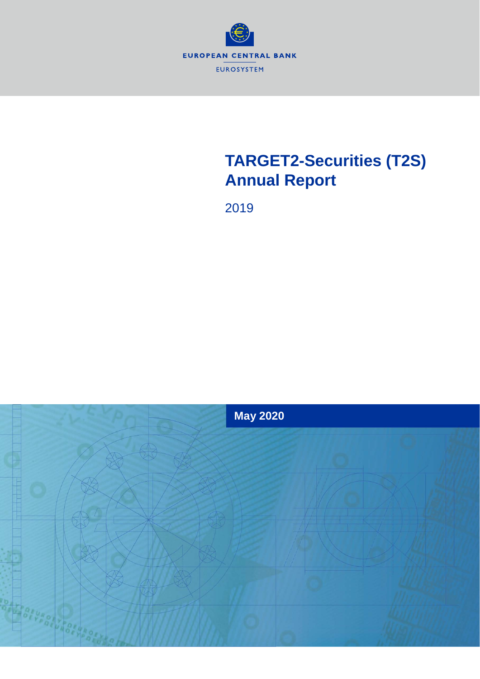

# **TARGET2-Securities (T2S) Annual Report**

2019

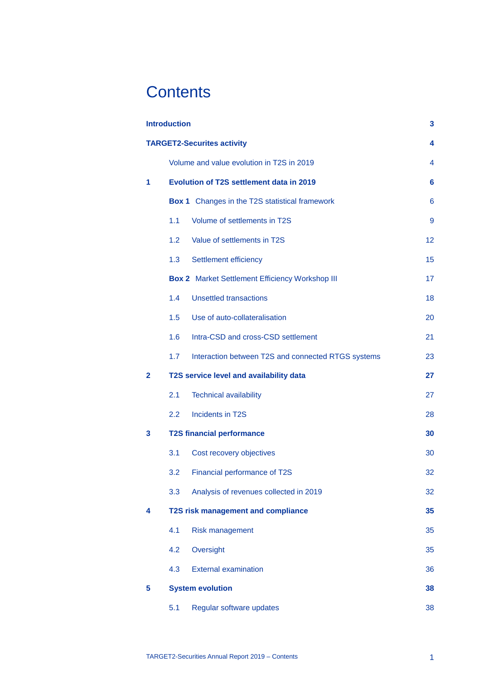# **Contents**

|                | <b>Introduction</b>                       |                                                        | 3  |  |  |  |
|----------------|-------------------------------------------|--------------------------------------------------------|----|--|--|--|
|                |                                           | <b>TARGET2-Securites activity</b>                      | 4  |  |  |  |
|                | Volume and value evolution in T2S in 2019 |                                                        |    |  |  |  |
| 1              |                                           | <b>Evolution of T2S settlement data in 2019</b>        | 6  |  |  |  |
|                |                                           | <b>Box 1</b> Changes in the T2S statistical framework  | 6  |  |  |  |
|                | 1.1                                       | Volume of settlements in T2S                           | 9  |  |  |  |
|                | 1.2                                       | Value of settlements in T2S                            | 12 |  |  |  |
|                | 1.3                                       | Settlement efficiency                                  | 15 |  |  |  |
|                |                                           | <b>Box 2</b> Market Settlement Efficiency Workshop III | 17 |  |  |  |
|                | 1.4                                       | <b>Unsettled transactions</b>                          | 18 |  |  |  |
|                | 1.5                                       | Use of auto-collateralisation                          | 20 |  |  |  |
|                | 1.6                                       | Intra-CSD and cross-CSD settlement                     | 21 |  |  |  |
|                | 1.7                                       | Interaction between T2S and connected RTGS systems     | 23 |  |  |  |
| $\overline{2}$ |                                           | T2S service level and availability data                | 27 |  |  |  |
|                | 2.1                                       | <b>Technical availability</b>                          | 27 |  |  |  |
|                | 2.2                                       | <b>Incidents in T2S</b>                                | 28 |  |  |  |
| 3              |                                           | <b>T2S financial performance</b>                       | 30 |  |  |  |
|                | 3.1                                       | Cost recovery objectives                               | 30 |  |  |  |
|                | 3.2                                       | Financial performance of T2S                           | 32 |  |  |  |
|                | 3.3                                       | Analysis of revenues collected in 2019                 | 32 |  |  |  |
| 4              |                                           | <b>T2S risk management and compliance</b>              | 35 |  |  |  |
|                | 4.1                                       | <b>Risk management</b>                                 | 35 |  |  |  |
|                | 4.2                                       | Oversight                                              | 35 |  |  |  |
|                | 4.3                                       | <b>External examination</b>                            | 36 |  |  |  |
| 5              |                                           | <b>System evolution</b>                                | 38 |  |  |  |
|                | 5.1                                       | Regular software updates                               | 38 |  |  |  |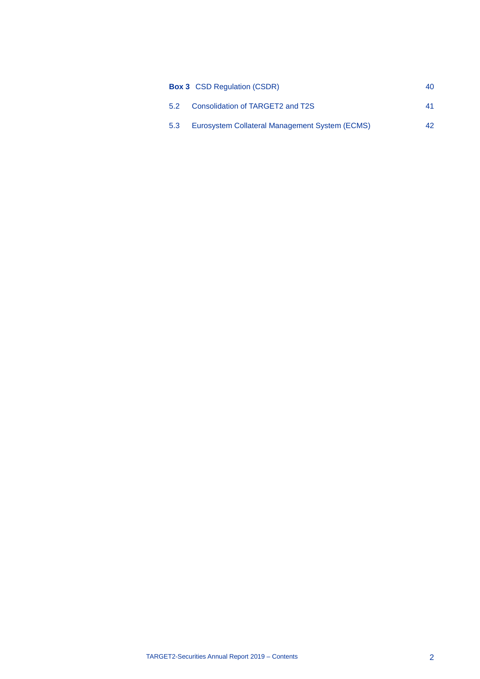|     | <b>Box 3</b> CSD Regulation (CSDR)             | 40. |
|-----|------------------------------------------------|-----|
| 5.2 | Consolidation of TARGET2 and T2S               | 41  |
| 5.3 | Eurosystem Collateral Management System (ECMS) | 42. |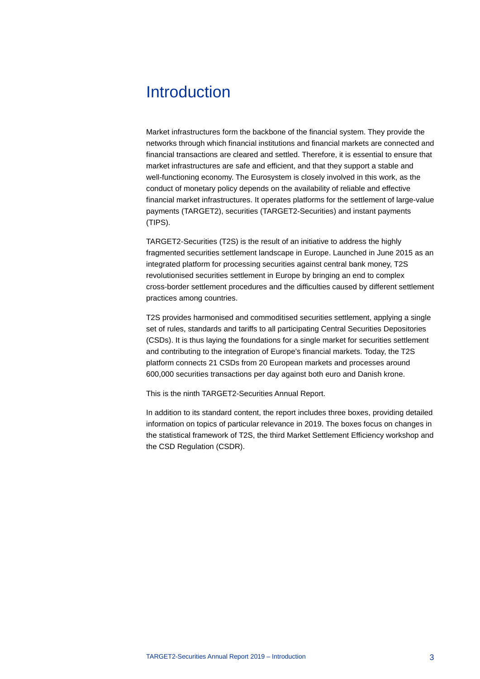# <span id="page-3-0"></span>**Introduction**

Market infrastructures form the backbone of the financial system. They provide the networks through which financial institutions and financial markets are connected and financial transactions are cleared and settled. Therefore, it is essential to ensure that market infrastructures are safe and efficient, and that they support a stable and well-functioning economy. The Eurosystem is closely involved in this work, as the conduct of monetary policy depends on the availability of reliable and effective financial market infrastructures. It operates platforms for the settlement of large-value payments (TARGET2), securities (TARGET2-Securities) and instant payments (TIPS).

TARGET2-Securities (T2S) is the result of an initiative to address the highly fragmented securities settlement landscape in Europe. Launched in June 2015 as an integrated platform for processing securities against central bank money, T2S revolutionised securities settlement in Europe by bringing an end to complex cross-border settlement procedures and the difficulties caused by different settlement practices among countries.

T2S provides harmonised and commoditised securities settlement, applying a single set of rules, standards and tariffs to all participating Central Securities Depositories (CSDs). It is thus laying the foundations for a single market for securities settlement and contributing to the integration of Europe's financial markets. Today, the T2S platform connects 21 CSDs from 20 European markets and processes around 600,000 securities transactions per day against both euro and Danish krone.

This is the ninth TARGET2-Securities Annual Report.

In addition to its standard content, the report includes three boxes, providing detailed information on topics of particular relevance in 2019. The boxes focus on changes in the statistical framework of T2S, the third Market Settlement Efficiency workshop and the CSD Regulation (CSDR).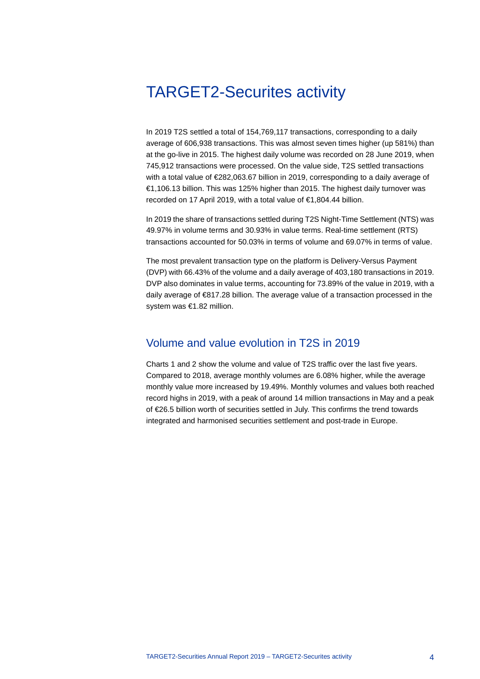# <span id="page-4-0"></span>TARGET2-Securites activity

In 2019 T2S settled a total of 154,769,117 transactions, corresponding to a daily average of 606,938 transactions. This was almost seven times higher (up 581%) than at the go-live in 2015. The highest daily volume was recorded on 28 June 2019, when 745,912 transactions were processed. On the value side, T2S settled transactions with a total value of €282,063.67 billion in 2019, corresponding to a daily average of €1,106.13 billion. This was 125% higher than 2015. The highest daily turnover was recorded on 17 April 2019, with a total value of €1,804.44 billion.

In 2019 the share of transactions settled during T2S Night-Time Settlement (NTS) was 49.97% in volume terms and 30.93% in value terms. Real-time settlement (RTS) transactions accounted for 50.03% in terms of volume and 69.07% in terms of value.

The most prevalent transaction type on the platform is Delivery-Versus Payment (DVP) with 66.43% of the volume and a daily average of 403,180 transactions in 2019. DVP also dominates in value terms, accounting for 73.89% of the value in 2019, with a daily average of €817.28 billion. The average value of a transaction processed in the system was €1.82 million.

# <span id="page-4-1"></span>Volume and value evolution in T2S in 2019

Charts 1 and 2 show the volume and value of T2S traffic over the last five years. Compared to 2018, average monthly volumes are 6.08% higher, while the average monthly value more increased by 19.49%. Monthly volumes and values both reached record highs in 2019, with a peak of around 14 million transactions in May and a peak of €26.5 billion worth of securities settled in July. This confirms the trend towards integrated and harmonised securities settlement and post-trade in Europe.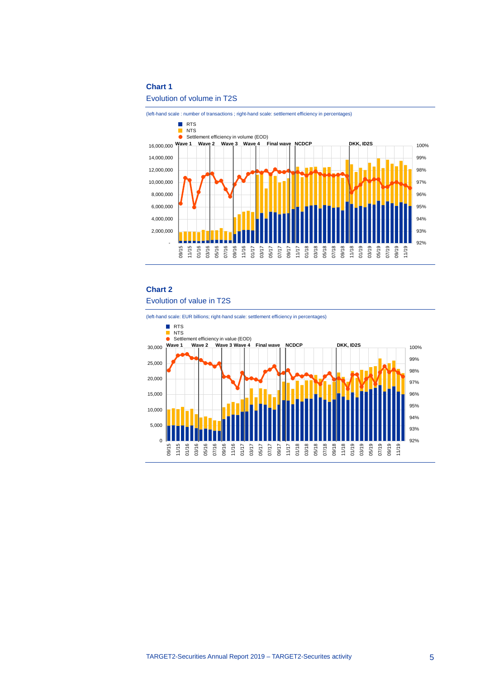#### **Chart 1**

#### Evolution of volume in T2S



# **Chart 2** Evolution of value in T2S

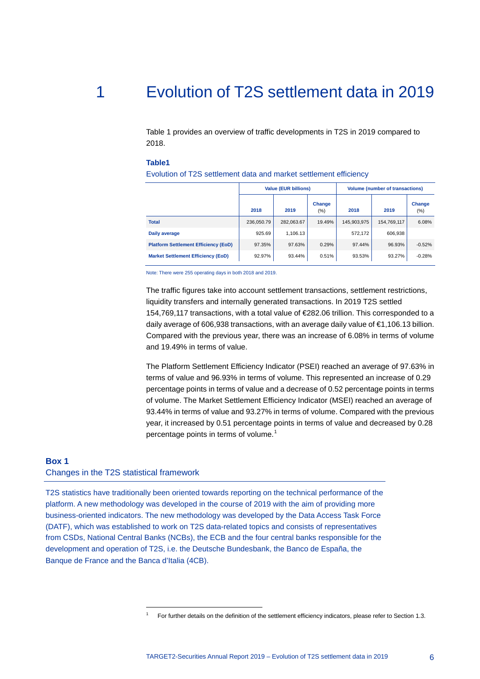# 1 Evolution of T2S settlement data in 2019

<span id="page-6-0"></span>Table 1 provides an overview of traffic developments in T2S in 2019 compared to 2018.

#### **Table1**

Evolution of T2S settlement data and market settlement efficiency

|                                             |            | <b>Value (EUR billions)</b> |                   |             | <b>Volume (number of transactions)</b> |               |  |  |
|---------------------------------------------|------------|-----------------------------|-------------------|-------------|----------------------------------------|---------------|--|--|
|                                             | 2018       | 2019                        | Change<br>$(\% )$ | 2018        | 2019                                   | Change<br>(%) |  |  |
| <b>Total</b>                                | 236,050.79 | 282,063.67                  | 19.49%            | 145,903,975 | 154,769,117                            | 6.08%         |  |  |
| Daily average                               | 925.69     | 1.106.13                    |                   | 572.172     | 606.938                                |               |  |  |
| <b>Platform Settlement Efficiency (EoD)</b> | 97.35%     | 97.63%                      | 0.29%             | 97.44%      | 96.93%                                 | $-0.52%$      |  |  |
| <b>Market Settlement Efficiency (EoD)</b>   | 92.97%     | 93.44%                      | 0.51%             | 93.53%      | 93.27%                                 | $-0.28%$      |  |  |

Note: There were 255 operating days in both 2018 and 2019.

The traffic figures take into account settlement transactions, settlement restrictions, liquidity transfers and internally generated transactions. In 2019 T2S settled 154,769,117 transactions, with a total value of €282.06 trillion. This corresponded to a daily average of 606,938 transactions, with an average daily value of €1,106.13 billion. Compared with the previous year, there was an increase of 6.08% in terms of volume and 19.49% in terms of value.

The Platform Settlement Efficiency Indicator (PSEI) reached an average of 97.63% in terms of value and 96.93% in terms of volume. This represented an increase of 0.29 percentage points in terms of value and a decrease of 0.52 percentage points in terms of volume. The Market Settlement Efficiency Indicator (MSEI) reached an average of 93.44% in terms of value and 93.27% in terms of volume. Compared with the previous year, it increased by 0.51 percentage points in terms of value and decreased by 0.28 percentage points in terms of volume.<sup>[1](#page-6-2)</sup>

#### <span id="page-6-1"></span>**Box 1**

#### Changes in the T2S statistical framework

-

<span id="page-6-2"></span>T2S statistics have traditionally been oriented towards reporting on the technical performance of the platform. A new methodology was developed in the course of 2019 with the aim of providing more business-oriented indicators. The new methodology was developed by the Data Access Task Force (DATF), which was established to work on T2S data-related topics and consists of representatives from CSDs, National Central Banks (NCBs), the ECB and the four central banks responsible for the development and operation of T2S, i.e. the Deutsche Bundesbank, the Banco de España, the Banque de France and the Banca d'Italia (4CB).

<sup>1</sup> For further details on the definition of the settlement efficiency indicators, please refer to Section 1.3.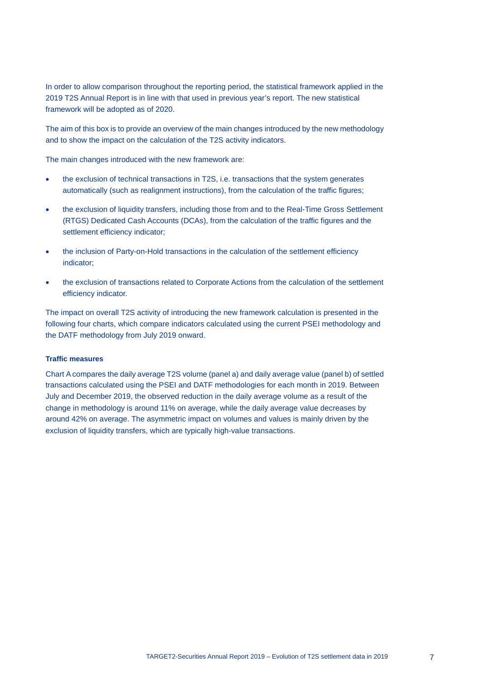In order to allow comparison throughout the reporting period, the statistical framework applied in the 2019 T2S Annual Report is in line with that used in previous year's report. The new statistical framework will be adopted as of 2020.

The aim of this box is to provide an overview of the main changes introduced by the new methodology and to show the impact on the calculation of the T2S activity indicators.

The main changes introduced with the new framework are:

- the exclusion of technical transactions in T2S, i.e. transactions that the system generates automatically (such as realignment instructions), from the calculation of the traffic figures;
- the exclusion of liquidity transfers, including those from and to the Real-Time Gross Settlement (RTGS) Dedicated Cash Accounts (DCAs), from the calculation of the traffic figures and the settlement efficiency indicator;
- the inclusion of Party-on-Hold transactions in the calculation of the settlement efficiency indicator;
- the exclusion of transactions related to Corporate Actions from the calculation of the settlement efficiency indicator.

The impact on overall T2S activity of introducing the new framework calculation is presented in the following four charts, which compare indicators calculated using the current PSEI methodology and the DATF methodology from July 2019 onward.

## **Traffic measures**

Chart A compares the daily average T2S volume (panel a) and daily average value (panel b) of settled transactions calculated using the PSEI and DATF methodologies for each month in 2019. Between July and December 2019, the observed reduction in the daily average volume as a result of the change in methodology is around 11% on average, while the daily average value decreases by around 42% on average. The asymmetric impact on volumes and values is mainly driven by the exclusion of liquidity transfers, which are typically high-value transactions.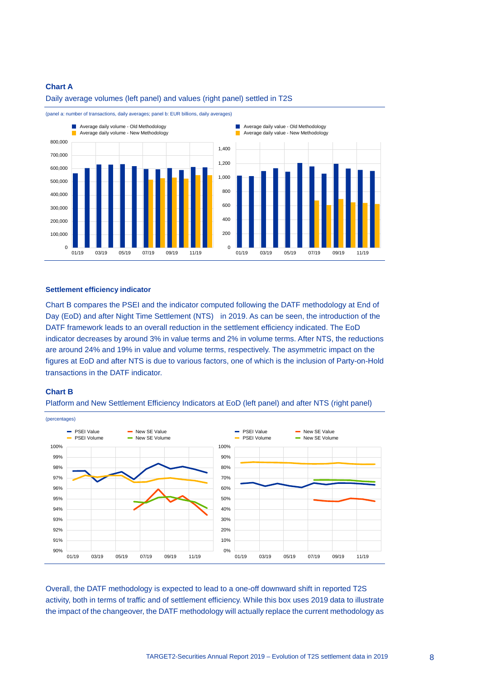## **Chart A**



Daily average volumes (left panel) and values (right panel) settled in T2S



#### **Settlement efficiency indicator**

Chart B compares the PSEI and the indicator computed following the DATF methodology at End of Day (EoD) and after Night Time Settlement (NTS) in 2019. As can be seen, the introduction of the DATF framework leads to an overall reduction in the settlement efficiency indicated. The EoD indicator decreases by around 3% in value terms and 2% in volume terms. After NTS, the reductions are around 24% and 19% in value and volume terms, respectively. The asymmetric impact on the figures at EoD and after NTS is due to various factors, one of which is the inclusion of Party-on-Hold transactions in the DATF indicator.

#### **Chart B**





Overall, the DATF methodology is expected to lead to a one-off downward shift in reported T2S activity, both in terms of traffic and of settlement efficiency. While this box uses 2019 data to illustrate the impact of the changeover, the DATF methodology will actually replace the current methodology as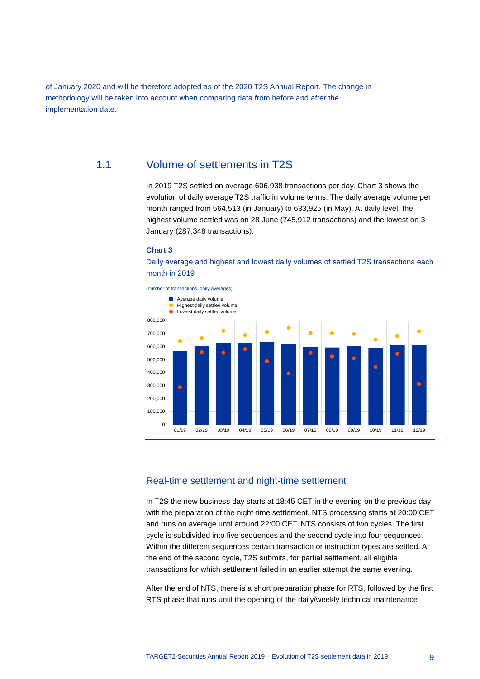of January 2020 and will be therefore adopted as of the 2020 T2S Annual Report. The change in methodology will be taken into account when comparing data from before and after the implementation date.

# 1.1 Volume of settlements in T2S

<span id="page-9-0"></span>In 2019 T2S settled on average 606,938 transactions per day. Chart 3 shows the evolution of daily average T2S traffic in volume terms. The daily average volume per month ranged from 564,513 (in January) to 633,925 (in May). At daily level, the highest volume settled was on 28 June (745,912 transactions) and the lowest on 3 January (287,348 transactions).

#### **Chart 3**

Daily average and highest and lowest daily volumes of settled T2S transactions each month in 2019



# Real-time settlement and night-time settlement

In T2S the new business day starts at 18:45 CET in the evening on the previous day with the preparation of the night-time settlement. NTS processing starts at 20:00 CET and runs on average until around 22:00 CET. NTS consists of two cycles. The first cycle is subdivided into five sequences and the second cycle into four sequences. Within the different sequences certain transaction or instruction types are settled. At the end of the second cycle, T2S submits, for partial settlement, all eligible transactions for which settlement failed in an earlier attempt the same evening.

After the end of NTS, there is a short preparation phase for RTS, followed by the first RTS phase that runs until the opening of the daily/weekly technical maintenance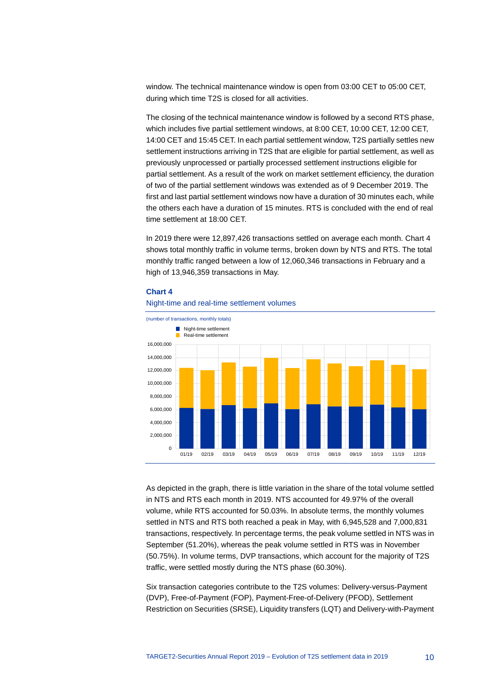window. The technical maintenance window is open from 03:00 CET to 05:00 CET, during which time T2S is closed for all activities.

The closing of the technical maintenance window is followed by a second RTS phase, which includes five partial settlement windows, at 8:00 CET, 10:00 CET, 12:00 CET, 14:00 CET and 15:45 CET. In each partial settlement window, T2S partially settles new settlement instructions arriving in T2S that are eligible for partial settlement, as well as previously unprocessed or partially processed settlement instructions eligible for partial settlement. As a result of the work on market settlement efficiency, the duration of two of the partial settlement windows was extended as of 9 December 2019. The first and last partial settlement windows now have a duration of 30 minutes each, while the others each have a duration of 15 minutes. RTS is concluded with the end of real time settlement at 18:00 CET.

In 2019 there were 12,897,426 transactions settled on average each month. Chart 4 shows total monthly traffic in volume terms, broken down by NTS and RTS. The total monthly traffic ranged between a low of 12,060,346 transactions in February and a high of 13,946,359 transactions in May.



#### **Chart 4**

Night-time and real-time settlement volumes

As depicted in the graph, there is little variation in the share of the total volume settled in NTS and RTS each month in 2019. NTS accounted for 49.97% of the overall volume, while RTS accounted for 50.03%. In absolute terms, the monthly volumes settled in NTS and RTS both reached a peak in May, with 6,945,528 and 7,000,831 transactions, respectively. In percentage terms, the peak volume settled in NTS was in September (51.20%), whereas the peak volume settled in RTS was in November (50.75%). In volume terms, DVP transactions, which account for the majority of T2S traffic, were settled mostly during the NTS phase (60.30%).

Six transaction categories contribute to the T2S volumes: Delivery-versus-Payment (DVP), Free-of-Payment (FOP), Payment-Free-of-Delivery (PFOD), Settlement Restriction on Securities (SRSE), Liquidity transfers (LQT) and Delivery-with-Payment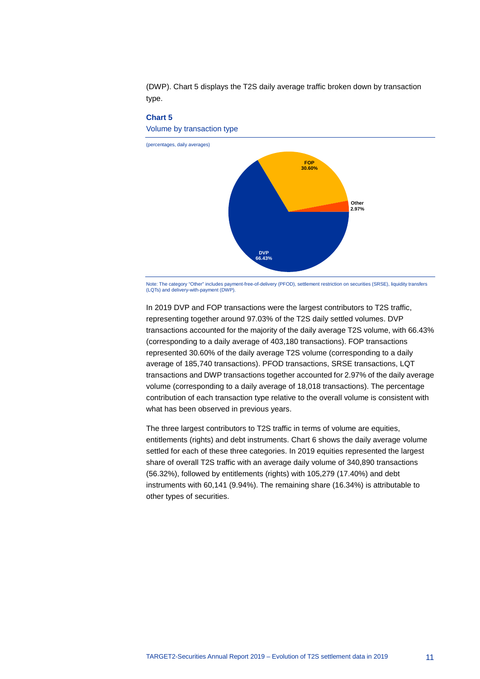



Note: The category "Other" includes payment-free-of-delivery (PFOD), settlement restriction on securities (SRSE), liquidity transfers (LQTs) and delivery-with-payment (DWP).

In 2019 DVP and FOP transactions were the largest contributors to T2S traffic, representing together around 97.03% of the T2S daily settled volumes. DVP transactions accounted for the majority of the daily average T2S volume, with 66.43% (corresponding to a daily average of 403,180 transactions). FOP transactions represented 30.60% of the daily average T2S volume (corresponding to a daily average of 185,740 transactions). PFOD transactions, SRSE transactions, LQT transactions and DWP transactions together accounted for 2.97% of the daily average volume (corresponding to a daily average of 18,018 transactions). The percentage contribution of each transaction type relative to the overall volume is consistent with what has been observed in previous years.

The three largest contributors to T2S traffic in terms of volume are equities, entitlements (rights) and debt instruments. Chart 6 shows the daily average volume settled for each of these three categories. In 2019 equities represented the largest share of overall T2S traffic with an average daily volume of 340,890 transactions (56.32%), followed by entitlements (rights) with 105,279 (17.40%) and debt instruments with 60,141 (9.94%). The remaining share (16.34%) is attributable to other types of securities.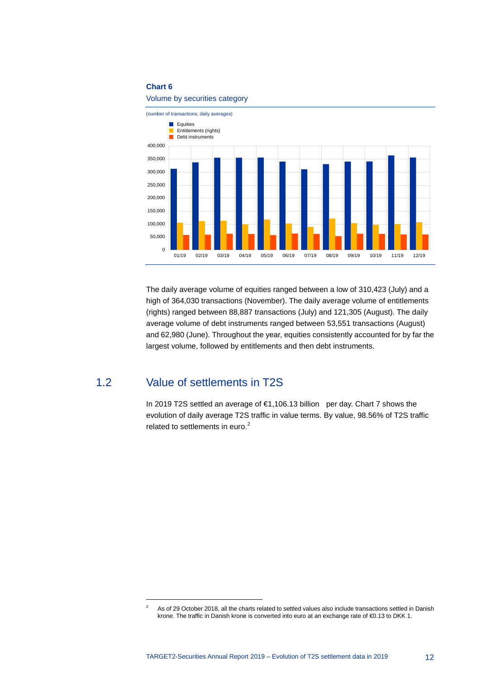## **Chart 6**

Volume by securities category



The daily average volume of equities ranged between a low of 310,423 (July) and a high of 364,030 transactions (November). The daily average volume of entitlements (rights) ranged between 88,887 transactions (July) and 121,305 (August). The daily average volume of debt instruments ranged between 53,551 transactions (August) and 62,980 (June). Throughout the year, equities consistently accounted for by far the largest volume, followed by entitlements and then debt instruments.

# 1.2 Value of settlements in T2S

-

<span id="page-12-0"></span>In 2019 T2S settled an average of €1,106.13 billion per day. Chart 7 shows the evolution of daily average T2S traffic in value terms. By value, 98.56% of T2S traffic related to settlements in euro.<sup>[2](#page-12-1)</sup>

<span id="page-12-1"></span><sup>&</sup>lt;sup>2</sup> As of 29 October 2018, all the charts related to settled values also include transactions settled in Danish krone. The traffic in Danish krone is converted into euro at an exchange rate of €0.13 to DKK 1.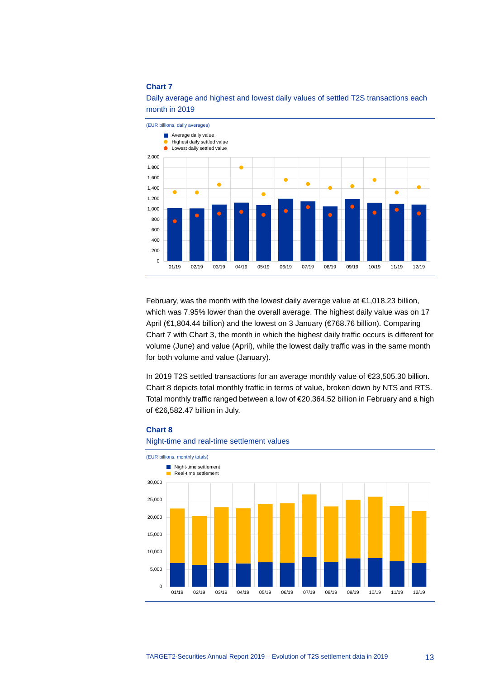## **Chart 7**



Daily average and highest and lowest daily values of settled T2S transactions each month in 2019

February, was the month with the lowest daily average value at  $\epsilon$ 1,018.23 billion, which was 7.95% lower than the overall average. The highest daily value was on 17 April (€1,804.44 billion) and the lowest on 3 January (€768.76 billion). Comparing Chart 7 with Chart 3, the month in which the highest daily traffic occurs is different for volume (June) and value (April), while the lowest daily traffic was in the same month for both volume and value (January).

In 2019 T2S settled transactions for an average monthly value of €23,505.30 billion. Chart 8 depicts total monthly traffic in terms of value, broken down by NTS and RTS. Total monthly traffic ranged between a low of €20,364.52 billion in February and a high of €26,582.47 billion in July.





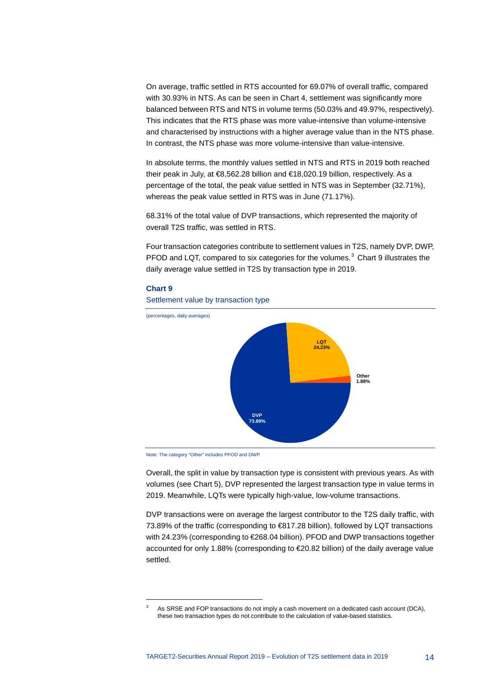On average, traffic settled in RTS accounted for 69.07% of overall traffic, compared with 30.93% in NTS. As can be seen in Chart 4, settlement was significantly more balanced between RTS and NTS in volume terms (50.03% and 49.97%, respectively). This indicates that the RTS phase was more value-intensive than volume-intensive and characterised by instructions with a higher average value than in the NTS phase. In contrast, the NTS phase was more volume-intensive than value-intensive.

In absolute terms, the monthly values settled in NTS and RTS in 2019 both reached their peak in July, at €8,562.28 billion and €18,020.19 billion, respectively. As a percentage of the total, the peak value settled in NTS was in September (32.71%), whereas the peak value settled in RTS was in June (71.17%).

68.31% of the total value of DVP transactions, which represented the majority of overall T2S traffic, was settled in RTS.

Four transaction categories contribute to settlement values in T2S, namely DVP, DWP, PFOD and LQT, compared to six categories for the volumes. $3$  Chart 9 illustrates the daily average value settled in T2S by transaction type in 2019.

#### **Chart 9**

<span id="page-14-0"></span>-



Settlement value by transaction type

Overall, the split in value by transaction type is consistent with previous years. As with volumes (see Chart 5), DVP represented the largest transaction type in value terms in 2019. Meanwhile, LQTs were typically high-value, low-volume transactions.

DVP transactions were on average the largest contributor to the T2S daily traffic, with 73.89% of the traffic (corresponding to €817.28 billion), followed by LQT transactions with 24.23% (corresponding to €268.04 billion). PFOD and DWP transactions together accounted for only 1.88% (corresponding to €20.82 billion) of the daily average value settled.

Note: The category "Other" includes PFOD and DWP.

As SRSE and FOP transactions do not imply a cash movement on a dedicated cash account (DCA), these two transaction types do not contribute to the calculation of value-based statistics.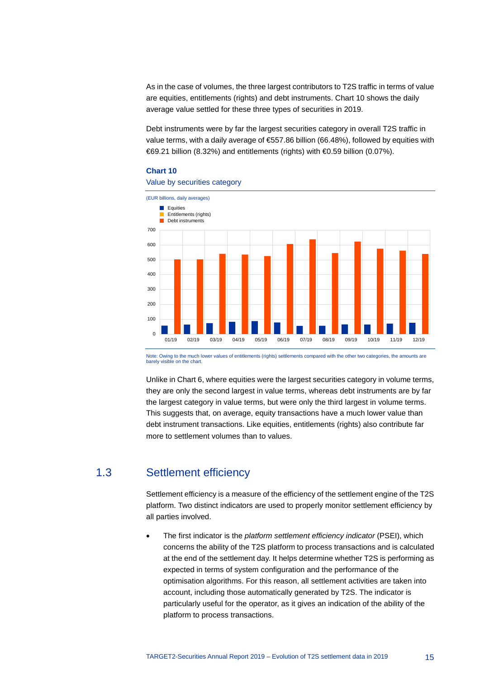As in the case of volumes, the three largest contributors to T2S traffic in terms of value are equities, entitlements (rights) and debt instruments. Chart 10 shows the daily average value settled for these three types of securities in 2019.

Debt instruments were by far the largest securities category in overall T2S traffic in value terms, with a daily average of  $$57.86$  billion (66.48%), followed by equities with €69.21 billion (8.32%) and entitlements (rights) with €0.59 billion (0.07%).

#### **Chart 10**



Note: Owing to the much lower values of entitlements (rights) settlements compared with the other two categories, the amounts are barely visible on the chart

Unlike in Chart 6, where equities were the largest securities category in volume terms, they are only the second largest in value terms, whereas debt instruments are by far the largest category in value terms, but were only the third largest in volume terms. This suggests that, on average, equity transactions have a much lower value than debt instrument transactions. Like equities, entitlements (rights) also contribute far more to settlement volumes than to values.

# 1.3 Settlement efficiency

<span id="page-15-0"></span>Settlement efficiency is a measure of the efficiency of the settlement engine of the T2S platform. Two distinct indicators are used to properly monitor settlement efficiency by all parties involved.

• The first indicator is the *platform settlement efficiency indicator* (PSEI), which concerns the ability of the T2S platform to process transactions and is calculated at the end of the settlement day. It helps determine whether T2S is performing as expected in terms of system configuration and the performance of the optimisation algorithms. For this reason, all settlement activities are taken into account, including those automatically generated by T2S. The indicator is particularly useful for the operator, as it gives an indication of the ability of the platform to process transactions.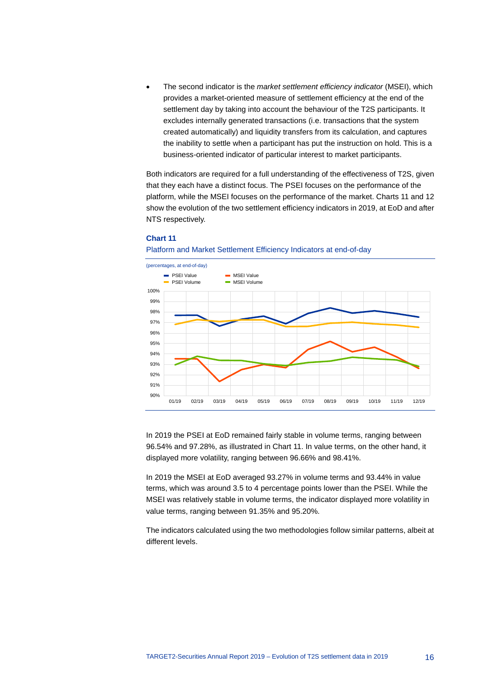• The second indicator is the *market settlement efficiency indicator* (MSEI), which provides a market-oriented measure of settlement efficiency at the end of the settlement day by taking into account the behaviour of the T2S participants. It excludes internally generated transactions (i.e. transactions that the system created automatically) and liquidity transfers from its calculation, and captures the inability to settle when a participant has put the instruction on hold. This is a business-oriented indicator of particular interest to market participants.

Both indicators are required for a full understanding of the effectiveness of T2S, given that they each have a distinct focus. The PSEI focuses on the performance of the platform, while the MSEI focuses on the performance of the market. Charts 11 and 12 show the evolution of the two settlement efficiency indicators in 2019, at EoD and after NTS respectively.



# **Chart 11**

In 2019 the PSEI at EoD remained fairly stable in volume terms, ranging between 96.54% and 97.28%, as illustrated in Chart 11. In value terms, on the other hand, it displayed more volatility, ranging between 96.66% and 98.41%.

In 2019 the MSEI at EoD averaged 93.27% in volume terms and 93.44% in value terms, which was around 3.5 to 4 percentage points lower than the PSEI. While the MSEI was relatively stable in volume terms, the indicator displayed more volatility in value terms, ranging between 91.35% and 95.20%.

The indicators calculated using the two methodologies follow similar patterns, albeit at different levels.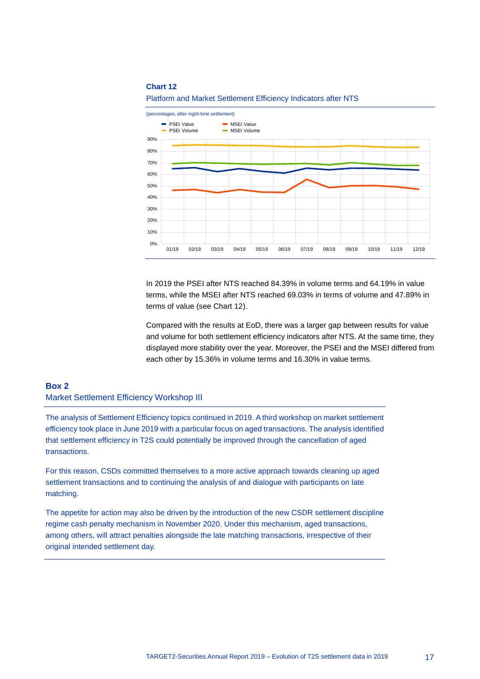#### **Chart 12**



Platform and Market Settlement Efficiency Indicators after NTS

In 2019 the PSEI after NTS reached 84.39% in volume terms and 64.19% in value terms, while the MSEI after NTS reached 69.03% in terms of volume and 47.89% in terms of value (see Chart 12).

Compared with the results at EoD, there was a larger gap between results for value and volume for both settlement efficiency indicators after NTS. At the same time, they displayed more stability over the year. Moreover, the PSEI and the MSEI differed from each other by 15.36% in volume terms and 16.30% in value terms.

# <span id="page-17-0"></span>**Box 2** Market Settlement Efficiency Workshop III

The analysis of Settlement Efficiency topics continued in 2019. A third workshop on market settlement efficiency took place in June 2019 with a particular focus on aged transactions. The analysis identified that settlement efficiency in T2S could potentially be improved through the cancellation of aged transactions.

For this reason, CSDs committed themselves to a more active approach towards cleaning up aged settlement transactions and to continuing the analysis of and dialogue with participants on late matching.

The appetite for action may also be driven by the introduction of the new CSDR settlement discipline regime cash penalty mechanism in November 2020. Under this mechanism, aged transactions, among others, will attract penalties alongside the late matching transactions, irrespective of their original intended settlement day.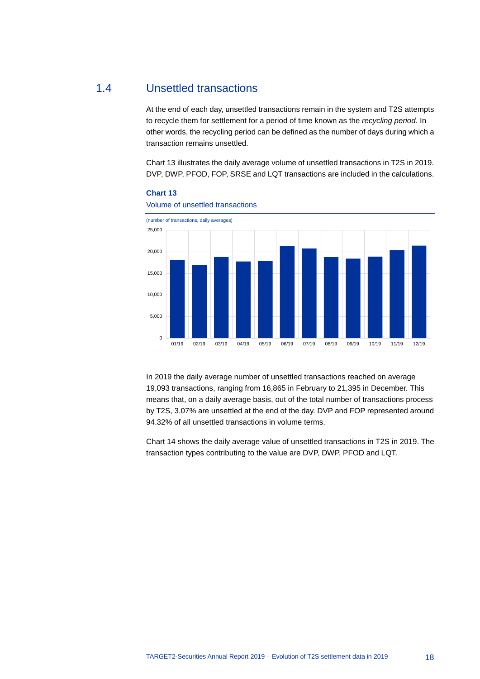# 1.4 Unsettled transactions

<span id="page-18-0"></span>At the end of each day, unsettled transactions remain in the system and T2S attempts to recycle them for settlement for a period of time known as the *recycling period*. In other words, the recycling period can be defined as the number of days during which a transaction remains unsettled.

Chart 13 illustrates the daily average volume of unsettled transactions in T2S in 2019. DVP, DWP, PFOD, FOP, SRSE and LQT transactions are included in the calculations.





Volume of unsettled transactions

In 2019 the daily average number of unsettled transactions reached on average 19,093 transactions, ranging from 16,865 in February to 21,395 in December. This means that, on a daily average basis, out of the total number of transactions process by T2S, 3.07% are unsettled at the end of the day. DVP and FOP represented around 94.32% of all unsettled transactions in volume terms.

Chart 14 shows the daily average value of unsettled transactions in T2S in 2019. The transaction types contributing to the value are DVP, DWP, PFOD and LQT.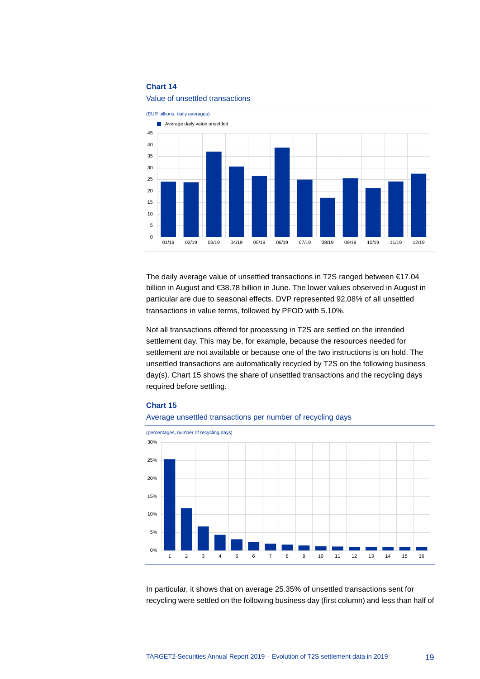## **Chart 14**



#### Value of unsettled transactions

The daily average value of unsettled transactions in T2S ranged between €17.04 billion in August and €38.78 billion in June. The lower values observed in August in particular are due to seasonal effects. DVP represented 92.08% of all unsettled transactions in value terms, followed by PFOD with 5.10%.

Not all transactions offered for processing in T2S are settled on the intended settlement day. This may be, for example, because the resources needed for settlement are not available or because one of the two instructions is on hold. The unsettled transactions are automatically recycled by T2S on the following business day(s). Chart 15 shows the share of unsettled transactions and the recycling days required before settling.

#### **Chart 15**



Average unsettled transactions per number of recycling days

In particular, it shows that on average 25.35% of unsettled transactions sent for recycling were settled on the following business day (first column) and less than half of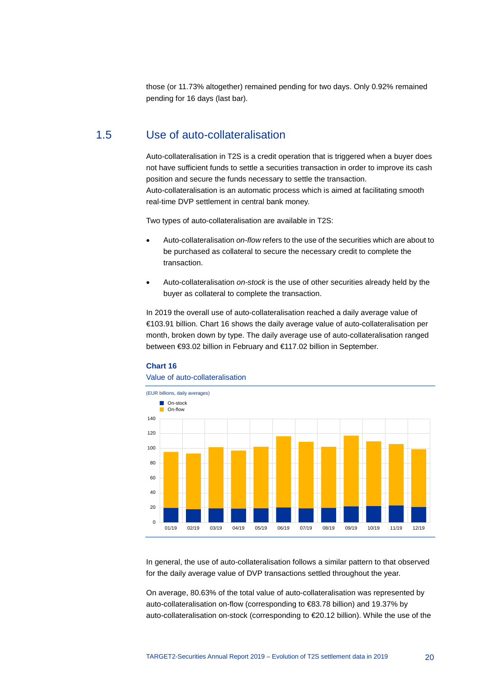<span id="page-20-0"></span>those (or 11.73% altogether) remained pending for two days. Only 0.92% remained pending for 16 days (last bar).

# 1.5 Use of auto-collateralisation

Auto-collateralisation in T2S is a credit operation that is triggered when a buyer does not have sufficient funds to settle a securities transaction in order to improve its cash position and secure the funds necessary to settle the transaction. Auto-collateralisation is an automatic process which is aimed at facilitating smooth real-time DVP settlement in central bank money.

Two types of auto-collateralisation are available in T2S:

- Auto-collateralisation *on-flow* refers to the use of the securities which are about to be purchased as collateral to secure the necessary credit to complete the transaction.
- Auto-collateralisation *on-stock* is the use of other securities already held by the buyer as collateral to complete the transaction.

In 2019 the overall use of auto-collateralisation reached a daily average value of €103.91 billion. Chart 16 shows the daily average value of auto-collateralisation per month, broken down by type. The daily average use of auto-collateralisation ranged between €93.02 billion in February and €117.02 billion in September.



#### Value of auto-collateralisation



In general, the use of auto-collateralisation follows a similar pattern to that observed for the daily average value of DVP transactions settled throughout the year.

On average, 80.63% of the total value of auto-collateralisation was represented by auto-collateralisation on-flow (corresponding to €83.78 billion) and 19.37% by auto-collateralisation on-stock (corresponding to €20.12 billion). While the use of the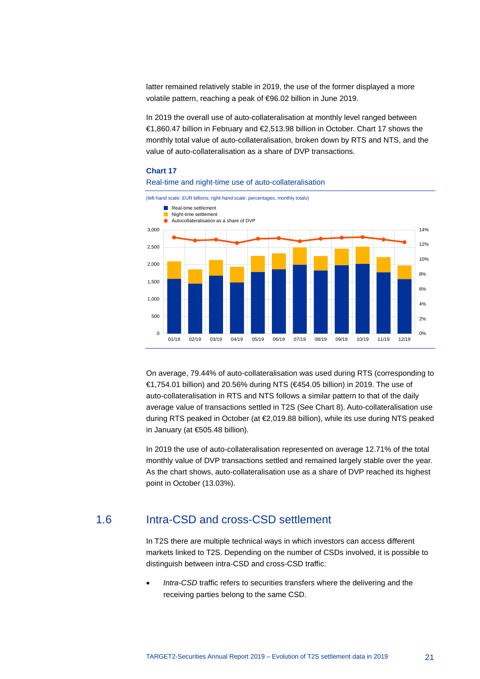latter remained relatively stable in 2019, the use of the former displayed a more volatile pattern, reaching a peak of €96.02 billion in June 2019.

In 2019 the overall use of auto-collateralisation at monthly level ranged between €1,860.47 billion in February and €2,513.98 billion in October. Chart 17 shows the monthly total value of auto-collateralisation, broken down by RTS and NTS, and the value of auto-collateralisation as a share of DVP transactions.

#### **Chart 17**





On average, 79.44% of auto-collateralisation was used during RTS (corresponding to €1,754.01 billion) and 20.56% during NTS (€454.05 billion) in 2019. The use of auto-collateralisation in RTS and NTS follows a similar pattern to that of the daily average value of transactions settled in T2S (See Chart 8). Auto-collateralisation use during RTS peaked in October (at €2,019.88 billion), while its use during NTS peaked in January (at €505.48 billion).

In 2019 the use of auto-collateralisation represented on average 12.71% of the total monthly value of DVP transactions settled and remained largely stable over the year. As the chart shows, auto-collateralisation use as a share of DVP reached its highest point in October (13.03%).

# 1.6 Intra-CSD and cross-CSD settlement

<span id="page-21-0"></span>In T2S there are multiple technical ways in which investors can access different markets linked to T2S. Depending on the number of CSDs involved, it is possible to distinguish between intra-CSD and cross-CSD traffic:

Intra-CSD traffic refers to securities transfers where the delivering and the receiving parties belong to the same CSD.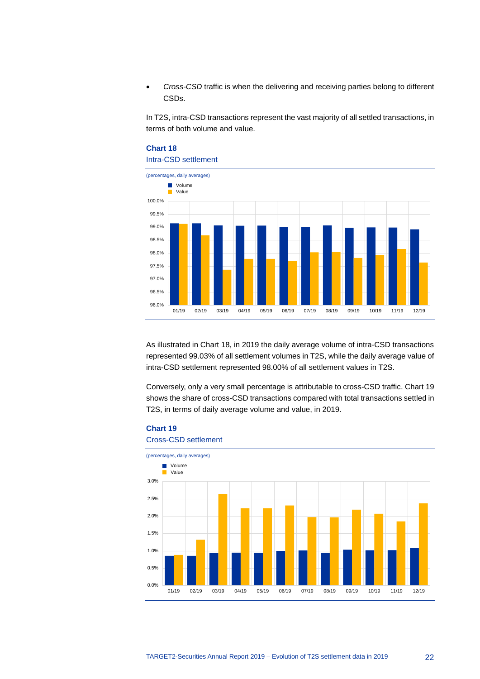• *Cross-CSD* traffic is when the delivering and receiving parties belong to different CSDs.

In T2S, intra-CSD transactions represent the vast majority of all settled transactions, in terms of both volume and value.

# **Chart 18** Intra-CSD settlement



As illustrated in Chart 18, in 2019 the daily average volume of intra-CSD transactions represented 99.03% of all settlement volumes in T2S, while the daily average value of intra-CSD settlement represented 98.00% of all settlement values in T2S.

Conversely, only a very small percentage is attributable to cross-CSD traffic. Chart 19 shows the share of cross-CSD transactions compared with total transactions settled in T2S, in terms of daily average volume and value, in 2019.

# **Chart 19**

# Cross-CSD settlement

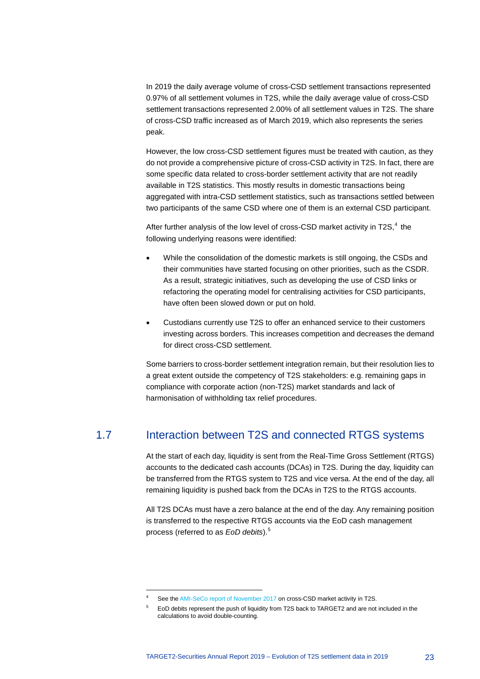In 2019 the daily average volume of cross-CSD settlement transactions represented 0.97% of all settlement volumes in T2S, while the daily average value of cross-CSD settlement transactions represented 2.00% of all settlement values in T2S. The share of cross-CSD traffic increased as of March 2019, which also represents the series peak.

However, the low cross-CSD settlement figures must be treated with caution, as they do not provide a comprehensive picture of cross-CSD activity in T2S. In fact, there are some specific data related to cross-border settlement activity that are not readily available in T2S statistics. This mostly results in domestic transactions being aggregated with intra-CSD settlement statistics, such as transactions settled between two participants of the same CSD where one of them is an external CSD participant.

After further analysis of the low level of cross-CSD market activity in T2S,<sup>[4](#page-23-1)</sup> the following underlying reasons were identified:

- While the consolidation of the domestic markets is still ongoing, the CSDs and their communities have started focusing on other priorities, such as the CSDR. As a result, strategic initiatives, such as developing the use of CSD links or refactoring the operating model for centralising activities for CSD participants, have often been slowed down or put on hold.
- Custodians currently use T2S to offer an enhanced service to their customers investing across borders. This increases competition and decreases the demand for direct cross-CSD settlement.

Some barriers to cross-border settlement integration remain, but their resolution lies to a great extent outside the competency of T2S stakeholders: e.g. remaining gaps in compliance with corporate action (non-T2S) market standards and lack of harmonisation of withholding tax relief procedures.

# 1.7 Interaction between T2S and connected RTGS systems

<span id="page-23-0"></span>At the start of each day, liquidity is sent from the Real-Time Gross Settlement (RTGS) accounts to the dedicated cash accounts (DCAs) in T2S. During the day, liquidity can be transferred from the RTGS system to T2S and vice versa. At the end of the day, all remaining liquidity is pushed back from the DCAs in T2S to the RTGS accounts.

All T2S DCAs must have a zero balance at the end of the day. Any remaining position is transferred to the respective RTGS accounts via the EoD cash management process (referred to as *EoD debits*). [5](#page-23-2)

-

See th[e AMI-SeCo report of November 2017](https://www.ecb.europa.eu/paym/initiatives/shared/docs/d1c9d-ami-seco-2017-12-07-item-1.5-xmap-report-on-t2s-cross-csd-activity.pdf) on cross-CSD market activity in T2S.

<span id="page-23-2"></span><span id="page-23-1"></span><sup>5</sup> EoD debits represent the push of liquidity from T2S back to TARGET2 and are not included in the calculations to avoid double-counting.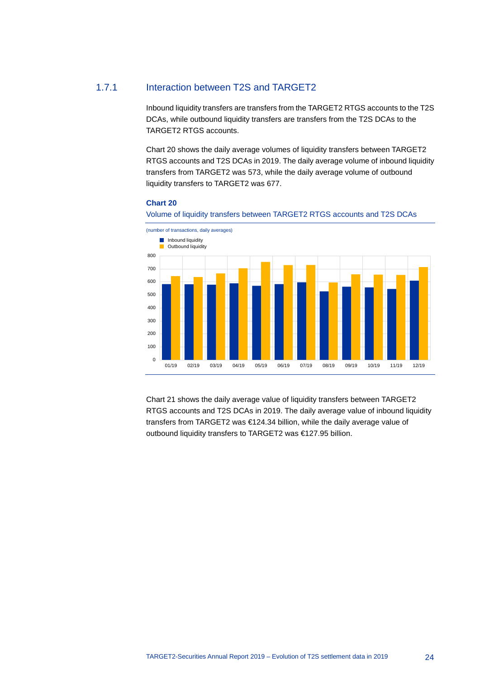# 1.7.1 Interaction between T2S and TARGET2

Inbound liquidity transfers are transfers from the TARGET2 RTGS accounts to the T2S DCAs, while outbound liquidity transfers are transfers from the T2S DCAs to the TARGET2 RTGS accounts.

Chart 20 shows the daily average volumes of liquidity transfers between TARGET2 RTGS accounts and T2S DCAs in 2019. The daily average volume of inbound liquidity transfers from TARGET2 was 573, while the daily average volume of outbound liquidity transfers to TARGET2 was 677.

## **Chart 20**





Chart 21 shows the daily average value of liquidity transfers between TARGET2 RTGS accounts and T2S DCAs in 2019. The daily average value of inbound liquidity transfers from TARGET2 was €124.34 billion, while the daily average value of outbound liquidity transfers to TARGET2 was €127.95 billion.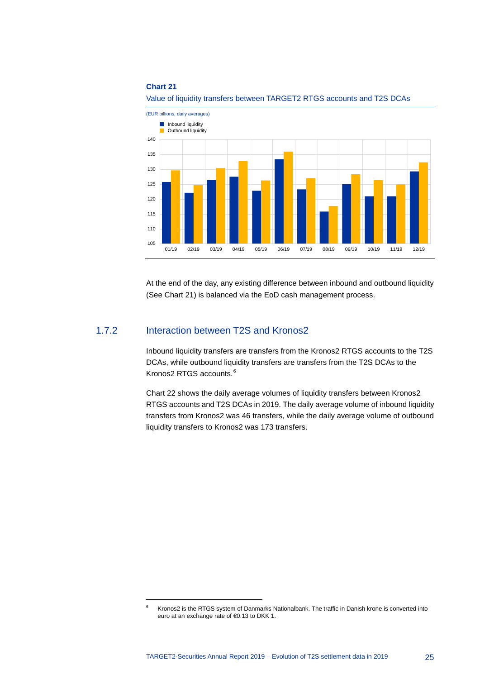#### **Chart 21**





At the end of the day, any existing difference between inbound and outbound liquidity (See Chart 21) is balanced via the EoD cash management process.

# 1.7.2 Interaction between T2S and Kronos2

-

Inbound liquidity transfers are transfers from the Kronos2 RTGS accounts to the T2S DCAs, while outbound liquidity transfers are transfers from the T2S DCAs to the Kronos2 RTGS accounts.[6](#page-25-0)

Chart 22 shows the daily average volumes of liquidity transfers between Kronos2 RTGS accounts and T2S DCAs in 2019. The daily average volume of inbound liquidity transfers from Kronos2 was 46 transfers, while the daily average volume of outbound liquidity transfers to Kronos2 was 173 transfers.

<span id="page-25-0"></span><sup>&</sup>lt;sup>6</sup> Kronos2 is the RTGS system of Danmarks Nationalbank. The traffic in Danish krone is converted into euro at an exchange rate of €0.13 to DKK 1.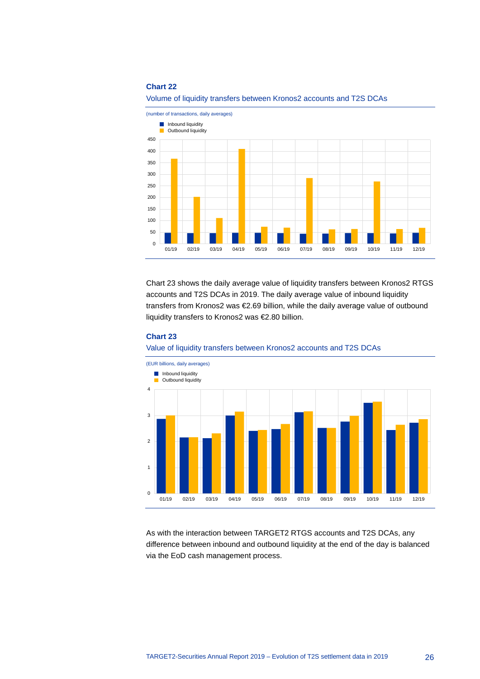#### **Chart 22**



Volume of liquidity transfers between Kronos2 accounts and T2S DCAs

Chart 23 shows the daily average value of liquidity transfers between Kronos2 RTGS accounts and T2S DCAs in 2019. The daily average value of inbound liquidity transfers from Kronos2 was €2.69 billion, while the daily average value of outbound liquidity transfers to Kronos2 was €2.80 billion.

#### **Chart 23**





As with the interaction between TARGET2 RTGS accounts and T2S DCAs, any difference between inbound and outbound liquidity at the end of the day is balanced via the EoD cash management process.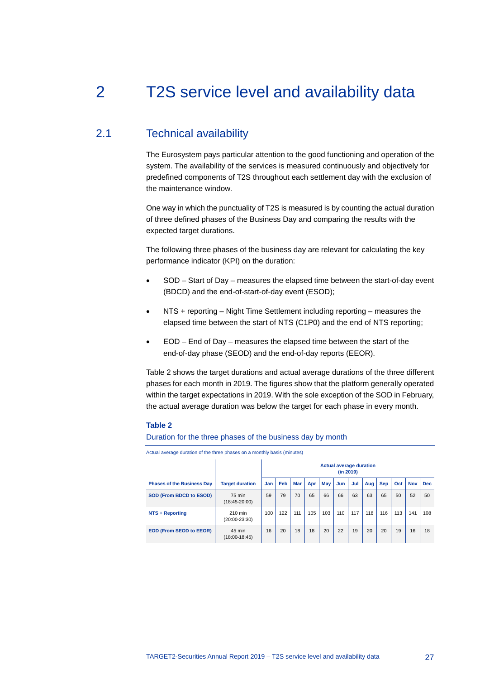# <span id="page-27-0"></span>2 T2S service level and availability data

# 2.1 Technical availability

<span id="page-27-1"></span>The Eurosystem pays particular attention to the good functioning and operation of the system. The availability of the services is measured continuously and objectively for predefined components of T2S throughout each settlement day with the exclusion of the maintenance window.

One way in which the punctuality of T2S is measured is by counting the actual duration of three defined phases of the Business Day and comparing the results with the expected target durations.

The following three phases of the business day are relevant for calculating the key performance indicator (KPI) on the duration:

- SOD Start of Day measures the elapsed time between the start-of-day event (BDCD) and the end-of-start-of-day event (ESOD);
- NTS + reporting Night Time Settlement including reporting measures the elapsed time between the start of NTS (C1P0) and the end of NTS reporting;
- EOD End of Day measures the elapsed time between the start of the end-of-day phase (SEOD) and the end-of-day reports (EEOR).

Table 2 shows the target durations and actual average durations of the three different phases for each month in 2019. The figures show that the platform generally operated within the target expectations in 2019. With the sole exception of the SOD in February, the actual average duration was below the target for each phase in every month.

#### **Table 2**

Duration for the three phases of the business day by month

Actual average duration of the three phases on a monthly basis (minutes)

|                                   |                            |     |     |            |     |     |     | (in 2019) | <b>Actual average duration</b> |            |     |            |            |
|-----------------------------------|----------------------------|-----|-----|------------|-----|-----|-----|-----------|--------------------------------|------------|-----|------------|------------|
| <b>Phases of the Business Day</b> | <b>Target duration</b>     | Jan | Feb | <b>Mar</b> | Apr | May | Jun | Jul       | Aug                            | <b>Sep</b> | Oct | <b>Nov</b> | <b>Dec</b> |
| <b>SOD (From BDCD to ESOD)</b>    | 75 min<br>$(18:45-20:00)$  | 59  | 79  | 70         | 65  | 66  | 66  | 63        | 63                             | 65         | 50  | 52         | 50         |
| NTS + Reporting                   | 210 min<br>$(20:00-23:30)$ | 100 | 122 | 111        | 105 | 103 | 110 | 117       | 118                            | 116        | 113 | 141        | 108        |
| <b>EOD (From SEOD to EEOR)</b>    | 45 min<br>$(18:00-18:45)$  | 16  | 20  | 18         | 18  | 20  | 22  | 19        | 20                             | 20         | 19  | 16         | 18         |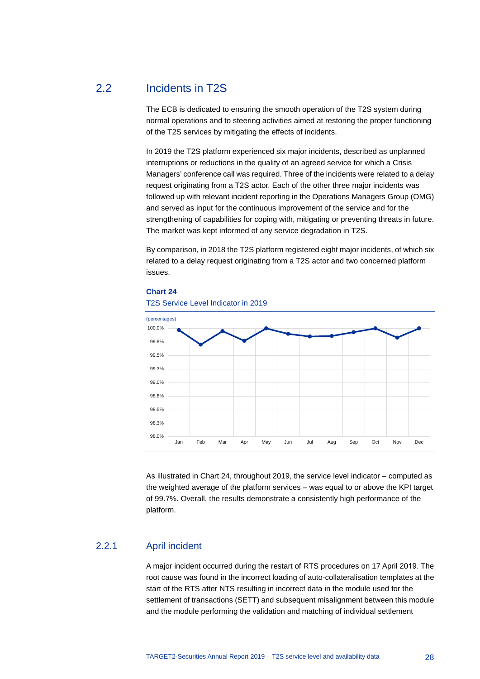# 2.2 Incidents in T2S

<span id="page-28-0"></span>The ECB is dedicated to ensuring the smooth operation of the T2S system during normal operations and to steering activities aimed at restoring the proper functioning of the T2S services by mitigating the effects of incidents.

In 2019 the T2S platform experienced six major incidents, described as unplanned interruptions or reductions in the quality of an agreed service for which a Crisis Managers' conference call was required. Three of the incidents were related to a delay request originating from a T2S actor. Each of the other three major incidents was followed up with relevant incident reporting in the Operations Managers Group (OMG) and served as input for the continuous improvement of the service and for the strengthening of capabilities for coping with, mitigating or preventing threats in future. The market was kept informed of any service degradation in T2S.

By comparison, in 2018 the T2S platform registered eight major incidents, of which six related to a delay request originating from a T2S actor and two concerned platform issues.



#### **Chart 24**

T2S Service Level Indicator in 2019

As illustrated in Chart 24, throughout 2019, the service level indicator – computed as the weighted average of the platform services – was equal to or above the KPI target of 99.7%. Overall, the results demonstrate a consistently high performance of the platform.

#### 2.2.1 April incident

A major incident occurred during the restart of RTS procedures on 17 April 2019. The root cause was found in the incorrect loading of auto-collateralisation templates at the start of the RTS after NTS resulting in incorrect data in the module used for the settlement of transactions (SETT) and subsequent misalignment between this module and the module performing the validation and matching of individual settlement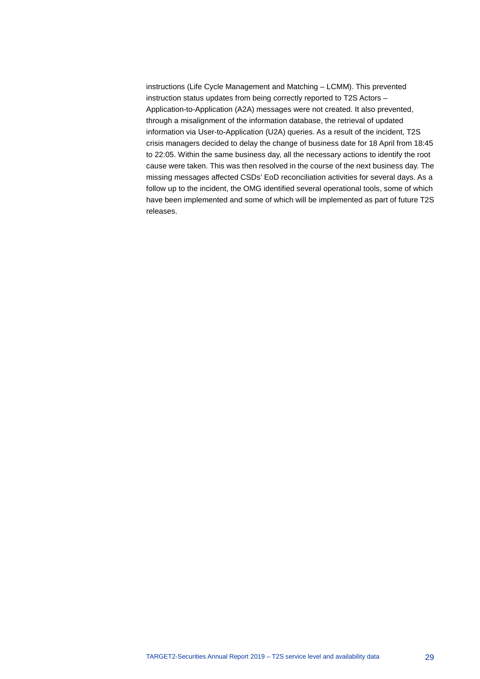instructions (Life Cycle Management and Matching – LCMM). This prevented instruction status updates from being correctly reported to T2S Actors – Application-to-Application (A2A) messages were not created. It also prevented, through a misalignment of the information database, the retrieval of updated information via User-to-Application (U2A) queries. As a result of the incident, T2S crisis managers decided to delay the change of business date for 18 April from 18:45 to 22:05. Within the same business day, all the necessary actions to identify the root cause were taken. This was then resolved in the course of the next business day. The missing messages affected CSDs' EoD reconciliation activities for several days. As a follow up to the incident, the OMG identified several operational tools, some of which have been implemented and some of which will be implemented as part of future T2S releases.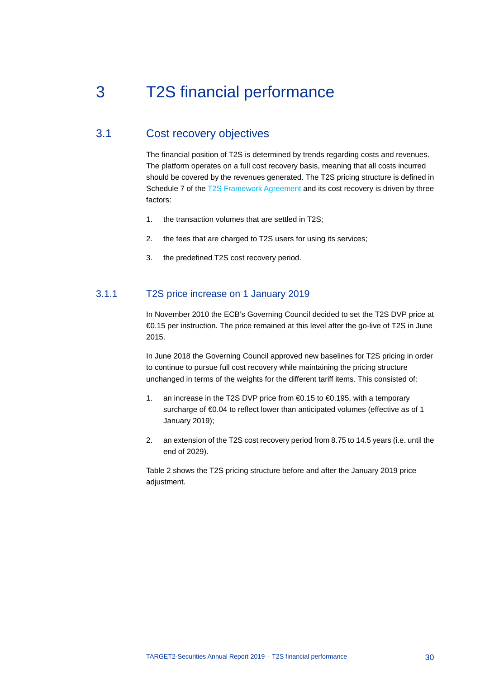# <span id="page-30-0"></span>3 T2S financial performance

# 3.1 Cost recovery objectives

<span id="page-30-1"></span>The financial position of T2S is determined by trends regarding costs and revenues. The platform operates on a full cost recovery basis, meaning that all costs incurred should be covered by the revenues generated. The T2S pricing structure is defined in Schedule 7 of the [T2S Framework Agreement](https://www.ecb.europa.eu/paym/target/t2s/profuse/shared/pdf/T2S_Framework_Agreement_Schedules.pdf?c89ab516aeabd51d538f547eebfadf69) and its cost recovery is driven by three factors:

- 1. the transaction volumes that are settled in T2S;
- 2. the fees that are charged to T2S users for using its services;
- 3. the predefined T2S cost recovery period.

# 3.1.1 T2S price increase on 1 January 2019

In November 2010 the ECB's Governing Council decided to set the T2S DVP price at €0.15 per instruction. The price remained at this level after the go-live of T2S in June 2015.

In June 2018 the Governing Council approved new baselines for T2S pricing in order to continue to pursue full cost recovery while maintaining the pricing structure unchanged in terms of the weights for the different tariff items. This consisted of:

- 1. an increase in the T2S DVP price from €0.15 to €0.195, with a temporary surcharge of €0.04 to reflect lower than anticipated volumes (effective as of 1 January 2019);
- 2. an extension of the T2S cost recovery period from 8.75 to 14.5 years (i.e. until the end of 2029).

Table 2 shows the T2S pricing structure before and after the January 2019 price adjustment.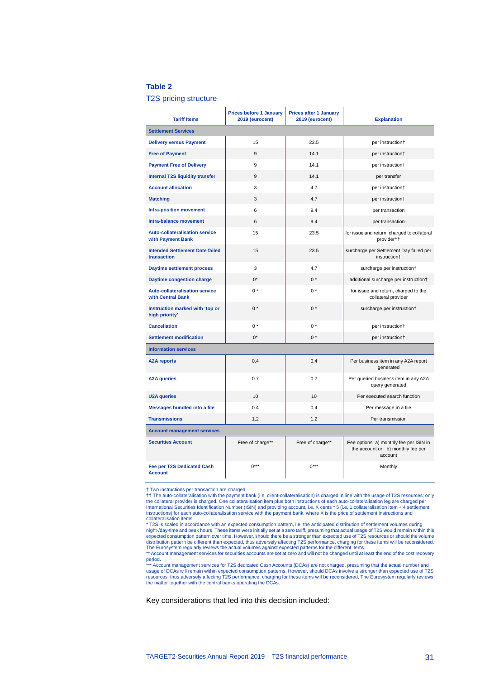## **Table 2**

T2S pricing structure

| <b>Tariff Items</b>                                        | <b>Prices before 1 January</b><br>2019 (eurocent) | <b>Prices after 1 January</b><br>2019 (eurocent) | <b>Explanation</b>                                                                      |
|------------------------------------------------------------|---------------------------------------------------|--------------------------------------------------|-----------------------------------------------------------------------------------------|
| <b>Settlement Services</b>                                 |                                                   |                                                  |                                                                                         |
| <b>Delivery versus Payment</b>                             | 15                                                | 23.5                                             | per instruction+                                                                        |
| <b>Free of Payment</b>                                     | 9                                                 | 14.1                                             | per instruction+                                                                        |
| <b>Payment Free of Delivery</b>                            | 9                                                 | 14.1                                             | per instruction+                                                                        |
| <b>Internal T2S liquidity transfer</b>                     | 9                                                 | 14.1                                             | per transfer                                                                            |
| <b>Account allocation</b>                                  | 3                                                 | 4.7                                              | per instruction+                                                                        |
| <b>Matching</b>                                            | 3                                                 | 4.7                                              | per instruction†                                                                        |
| <b>Intra-position movement</b>                             | 6                                                 | 9.4                                              | per transaction                                                                         |
| Intra-balance movement                                     | 6                                                 | 9.4                                              | per transaction                                                                         |
| <b>Auto-collateralisation service</b><br>with Payment Bank | 15                                                | 23.5                                             | for issue and return, charged to collateral<br>provider††                               |
| <b>Intended Settlement Date failed</b><br>transaction      | 15                                                | 23.5                                             | surcharge per Settlement Day failed per<br>instruction†                                 |
| <b>Daytime settlement process</b>                          | 3                                                 | 4.7                                              | surcharge per instruction+                                                              |
| Daytime congestion charge                                  | $0^*$                                             | $0*$                                             | additional surcharge per instruction+                                                   |
| <b>Auto-collateralisation service</b><br>with Central Bank | $0*$                                              | $0*$                                             | for issue and return, charged to the<br>collateral provider                             |
| Instruction marked with 'top or<br>high priority'          | $0^*$                                             | $0^*$                                            | surcharge per instruction†                                                              |
| <b>Cancellation</b>                                        | $0*$                                              | $0*$                                             | per instruction+                                                                        |
| <b>Settlement modification</b>                             | $0^*$                                             | $0*$                                             | per instruction+                                                                        |
| <b>Information services</b>                                |                                                   |                                                  |                                                                                         |
| <b>A2A reports</b>                                         | 0.4                                               | 0.4                                              | Per business item in any A2A report<br>qenerated                                        |
| <b>A2A queries</b>                                         | 0.7                                               | 0.7                                              | Per queried business item in any A2A<br>query generated                                 |
| <b>U2A queries</b>                                         | 10                                                | 10                                               | Per executed search function                                                            |
| <b>Messages bundled into a file</b>                        | 0.4                                               | 0.4                                              | Per message in a file                                                                   |
| <b>Transmissions</b>                                       | 1.2                                               | 1.2                                              | Per transmission                                                                        |
| <b>Account management services</b>                         |                                                   |                                                  |                                                                                         |
| <b>Securities Account</b>                                  | Free of charge**                                  | Free of charge**                                 | Fee options: a) monthly fee per ISIN in<br>the account or b) monthly fee per<br>account |
| Fee per T2S Dedicated Cash<br><b>Account</b>               | $0***$                                            | $0***$                                           | Monthly                                                                                 |

† Two instructions per transaction are charged. †† The auto-collateralisation with the payment bank (i.e. client-collateralisation) is charged in line with the usage of T2S resources; only the collateral provider is charged. One collateralisation item plus both instructions of each auto-collateralisation leg are charged per<br>International Securities Identification Number (ISIN) and providing account, i.e. X c instructions) for each auto-collateralisation service with the payment bank, where X is the price of settlement instructions and

collateralisation items.<br>\* T2S is scaled in accordance with an expected consumption pattern, i.e. the anticipated distribution of settlement volumes during<br>\* T2S is scaled in accordance with an expected consumption pattern

period.<br>\*\*\* Account management services for T2S dedicated Cash Accounts (DCAs) are not charged, presuming that the actual number and<br>usage of DCAs will remain within expected consumption patterns. However, should DCAs invo

resources, thus adversely affecting T2S performance, charging for these items will be reconsidered. The Eurosystem regularly reviews the matter together with the central banks operating the DCAs.

Key considerations that led into this decision included: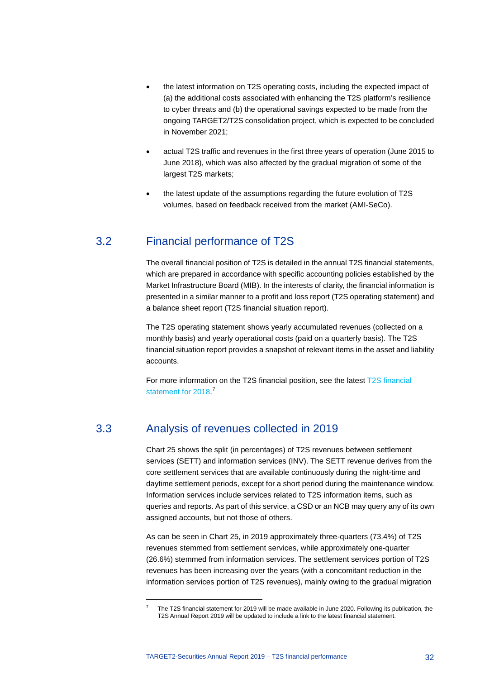- the latest information on T2S operating costs, including the expected impact of (a) the additional costs associated with enhancing the T2S platform's resilience to cyber threats and (b) the operational savings expected to be made from the ongoing TARGET2/T2S consolidation project, which is expected to be concluded in November 2021;
- actual T2S traffic and revenues in the first three years of operation (June 2015 to June 2018), which was also affected by the gradual migration of some of the largest T2S markets;
- <span id="page-32-0"></span>• the latest update of the assumptions regarding the future evolution of T2S volumes, based on feedback received from the market (AMI-SeCo).

# 3.2 Financial performance of T2S

The overall financial position of T2S is detailed in the annual T2S financial statements, which are prepared in accordance with specific accounting policies established by the Market Infrastructure Board (MIB). In the interests of clarity, the financial information is presented in a similar manner to a profit and loss report (T2S operating statement) and a balance sheet report (T2S financial situation report).

The T2S operating statement shows yearly accumulated revenues (collected on a monthly basis) and yearly operational costs (paid on a quarterly basis). The T2S financial situation report provides a snapshot of relevant items in the asset and liability accounts.

<span id="page-32-1"></span>For more information on the T2S financial position, see the lates[t T2S financial](https://www.ecb.europa.eu/paym/intro/publications/pdf/ecb.targetsecfs190612.en.pdf)  [statement for 2018.](https://www.ecb.europa.eu/paym/intro/publications/pdf/ecb.targetsecfs190612.en.pdf)<sup>[7](#page-32-2)</sup>

# 3.3 Analysis of revenues collected in 2019

<span id="page-32-2"></span>-

Chart 25 shows the split (in percentages) of T2S revenues between settlement services (SETT) and information services (INV). The SETT revenue derives from the core settlement services that are available continuously during the night-time and daytime settlement periods, except for a short period during the maintenance window. Information services include services related to T2S information items, such as queries and reports. As part of this service, a CSD or an NCB may query any of its own assigned accounts, but not those of others.

As can be seen in Chart 25, in 2019 approximately three-quarters (73.4%) of T2S revenues stemmed from settlement services, while approximately one-quarter (26.6%) stemmed from information services. The settlement services portion of T2S revenues has been increasing over the years (with a concomitant reduction in the information services portion of T2S revenues), mainly owing to the gradual migration

The T2S financial statement for 2019 will be made available in June 2020. Following its publication, the T2S Annual Report 2019 will be updated to include a link to the latest financial statement.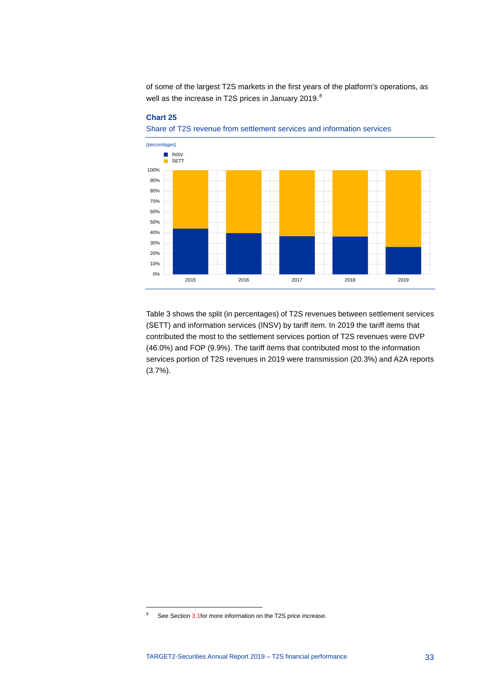of some of the largest T2S markets in the first years of the platform's operations, as well as the increase in T2S prices in January 2019.<sup>[8](#page-33-0)</sup>



## **Chart 25**

Share of T2S revenue from settlement services and information services

Table 3 shows the split (in percentages) of T2S revenues between settlement services (SETT) and information services (INSV) by tariff item. In 2019 the tariff items that contributed the most to the settlement services portion of T2S revenues were DVP (46.0%) and FOP (9.9%). The tariff items that contributed most to the information services portion of T2S revenues in 2019 were transmission (20.3%) and A2A reports (3.7%).

-

<span id="page-33-0"></span><sup>&</sup>lt;sup>8</sup> See Sectio[n 3.1fo](#page-30-1)r more information on the T2S price increase.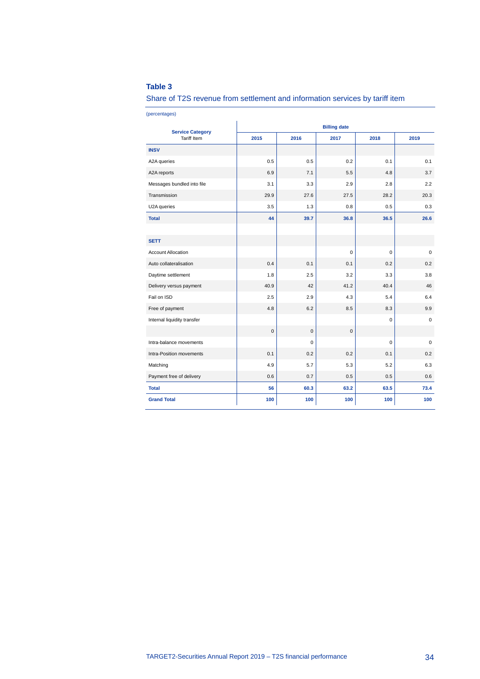# **Table 3**

Share of T2S revenue from settlement and information services by tariff item

(percentages)

| <b>Service Category</b>     | <b>Billing date</b> |           |             |             |             |  |  |
|-----------------------------|---------------------|-----------|-------------|-------------|-------------|--|--|
| <b>Tariff Item</b>          | 2015                | 2016      | 2017        | 2018        | 2019        |  |  |
| <b>INSV</b>                 |                     |           |             |             |             |  |  |
| A2A queries                 | 0.5                 | 0.5       | 0.2         | 0.1         | 0.1         |  |  |
| A2A reports                 | 6.9                 | 7.1       | 5.5         | 4.8         | 3.7         |  |  |
| Messages bundled into file  | 3.1                 | 3.3       | 2.9         | 2.8         | 2.2         |  |  |
| Transmission                | 29.9                | 27.6      | 27.5        | 28.2        | 20.3        |  |  |
| U2A queries                 | 3.5                 | 1.3       | 0.8         | 0.5         | 0.3         |  |  |
| <b>Total</b>                | 44                  | 39.7      | 36.8        | 36.5        | 26.6        |  |  |
|                             |                     |           |             |             |             |  |  |
| <b>SETT</b>                 |                     |           |             |             |             |  |  |
| <b>Account Allocation</b>   |                     |           | $\mathbf 0$ | $\mathbf 0$ | 0           |  |  |
| Auto collateralisation      | 0.4                 | 0.1       | 0.1         | 0.2         | 0.2         |  |  |
| Daytime settlement          | 1.8                 | 2.5       | 3.2         | 3.3         | 3.8         |  |  |
| Delivery versus payment     | 40.9                | 42        | 41.2        | 40.4        | 46          |  |  |
| Fail on ISD                 | 2.5                 | 2.9       | 4.3         | 5.4         | 6.4         |  |  |
| Free of payment             | 4.8                 | 6.2       | 8.5         | 8.3         | 9.9         |  |  |
| Internal liquidity transfer |                     |           |             | 0           | 0           |  |  |
|                             | $\mathbf 0$         | $\pmb{0}$ | $\pmb{0}$   |             |             |  |  |
| Intra-balance movements     |                     | $\Omega$  |             | $\mathbf 0$ | $\mathbf 0$ |  |  |
| Intra-Position movements    | 0.1                 | 0.2       | 0.2         | 0.1         | 0.2         |  |  |
| Matching                    | 4.9                 | 5.7       | 5.3         | 5.2         | 6.3         |  |  |
| Payment free of delivery    | 0.6                 | 0.7       | 0.5         | 0.5         | 0.6         |  |  |
| <b>Total</b>                | 56                  | 60.3      | 63.2        | 63.5        | 73.4        |  |  |
| <b>Grand Total</b>          | 100                 | 100       | 100         | 100         | 100         |  |  |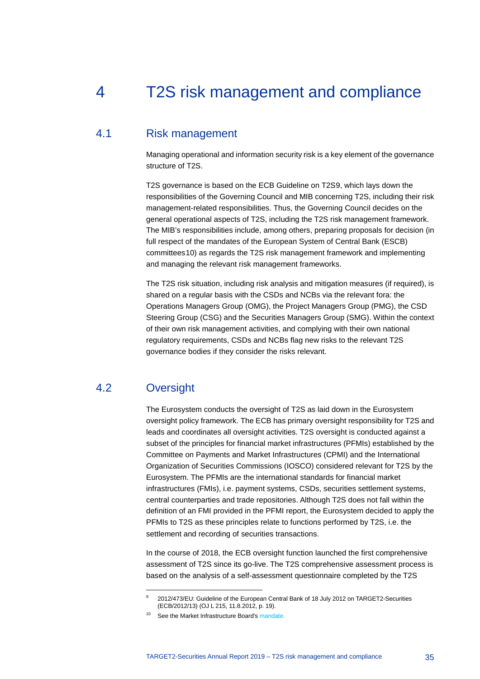# <span id="page-35-0"></span>4 T2S risk management and compliance

# 4.1 Risk management

<span id="page-35-1"></span>Managing operational and information security risk is a key element of the governance structure of T2S.

T2S governance is based on the ECB Guideline on T2S[9](#page-35-3), which lays down the responsibilities of the Governing Council and MIB concerning T2S, including their risk management-related responsibilities. Thus, the Governing Council decides on the general operational aspects of T2S, including the T2S risk management framework. The MIB's responsibilities include, among others, preparing proposals for decision (in full respect of the mandates of the European System of Central Bank (ESCB) committees[10](#page-35-4)) as regards the T2S risk management framework and implementing and managing the relevant risk management frameworks.

The T2S risk situation, including risk analysis and mitigation measures (if required), is shared on a regular basis with the CSDs and NCBs via the relevant fora: the Operations Managers Group (OMG), the Project Managers Group (PMG), the CSD Steering Group (CSG) and the Securities Managers Group (SMG). Within the context of their own risk management activities, and complying with their own national regulatory requirements, CSDs and NCBs flag new risks to the relevant T2S governance bodies if they consider the risks relevant.

# 4.2 Oversight

-

<span id="page-35-2"></span>The Eurosystem conducts the oversight of T2S as laid down in the Eurosystem oversight policy framework. The ECB has primary oversight responsibility for T2S and leads and coordinates all oversight activities. T2S oversight is conducted against a subset of the principles for financial market infrastructures (PFMIs) established by the Committee on Payments and Market Infrastructures (CPMI) and the International Organization of Securities Commissions (IOSCO) considered relevant for T2S by the Eurosystem. The PFMIs are the international standards for financial market infrastructures (FMIs), i.e. payment systems, CSDs, securities settlement systems, central counterparties and trade repositories. Although T2S does not fall within the definition of an FMI provided in the PFMI report, the Eurosystem decided to apply the PFMIs to T2S as these principles relate to functions performed by T2S, i.e. the settlement and recording of securities transactions.

In the course of 2018, the ECB oversight function launched the first comprehensive assessment of T2S since its go-live. The T2S comprehensive assessment process is based on the analysis of a self-assessment questionnaire completed by the T2S

<sup>9</sup> 2012/473/EU: Guideline of the European Central Bank of 18 July 2012 on TARGET2-Securities (ECB/2012/13) (OJ L 215, 11.8.2012, p. 19).

<span id="page-35-4"></span><span id="page-35-3"></span><sup>&</sup>lt;sup>10</sup> See th[e Market Infrastructure Board's](https://eur-lex.europa.eu/legal-content/EN/TXT/?uri=uriserv:OJ.L_.2019.032.01.0014.01.ENG&toc=OJ:L:2019:032:TOC) mandate.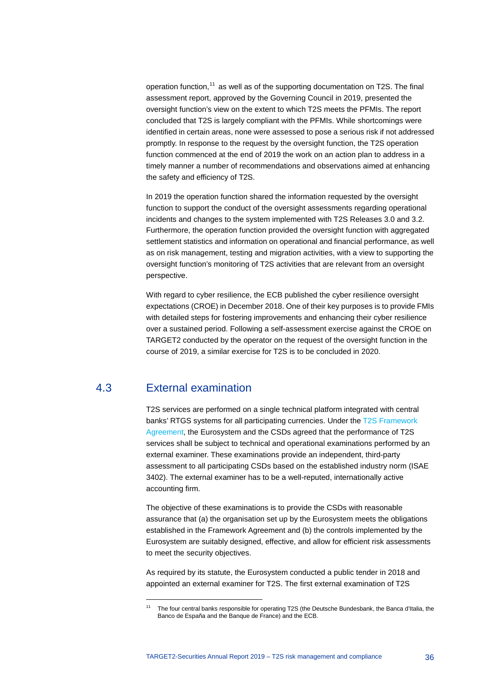operation function, [11](#page-36-1) as well as of the supporting documentation on T2S. The final assessment report, approved by the Governing Council in 2019, presented the oversight function's view on the extent to which T2S meets the PFMIs. The report concluded that T2S is largely compliant with the PFMIs. While shortcomings were identified in certain areas, none were assessed to pose a serious risk if not addressed promptly. In response to the request by the oversight function, the T2S operation function commenced at the end of 2019 the work on an action plan to address in a timely manner a number of recommendations and observations aimed at enhancing the safety and efficiency of T2S.

In 2019 the operation function shared the information requested by the oversight function to support the conduct of the oversight assessments regarding operational incidents and changes to the system implemented with T2S Releases 3.0 and 3.2. Furthermore, the operation function provided the oversight function with aggregated settlement statistics and information on operational and financial performance, as well as on risk management, testing and migration activities, with a view to supporting the oversight function's monitoring of T2S activities that are relevant from an oversight perspective.

With regard to cyber resilience, the ECB published the cyber resilience oversight expectations (CROE) in December 2018. One of their key purposes is to provide FMIs with detailed steps for fostering improvements and enhancing their cyber resilience over a sustained period. Following a self-assessment exercise against the CROE on TARGET2 conducted by the operator on the request of the oversight function in the course of 2019, a similar exercise for T2S is to be concluded in 2020.

# 4.3 External examination

<span id="page-36-1"></span>-

<span id="page-36-0"></span>T2S services are performed on a single technical platform integrated with central banks' RTGS systems for all participating currencies. Under the [T2S Framework](https://www.ecb.europa.eu/paym/target/t2s/profuse/shared/pdf/T2S_Framework_Agreement_Schedules.pdf)  [Agreement,](https://www.ecb.europa.eu/paym/target/t2s/profuse/shared/pdf/T2S_Framework_Agreement_Schedules.pdf) the Eurosystem and the CSDs agreed that the performance of T2S services shall be subject to technical and operational examinations performed by an external examiner. These examinations provide an independent, third-party assessment to all participating CSDs based on the established industry norm (ISAE 3402). The external examiner has to be a well-reputed, internationally active accounting firm.

The objective of these examinations is to provide the CSDs with reasonable assurance that (a) the organisation set up by the Eurosystem meets the obligations established in the Framework Agreement and (b) the controls implemented by the Eurosystem are suitably designed, effective, and allow for efficient risk assessments to meet the security objectives.

As required by its statute, the Eurosystem conducted a public tender in 2018 and appointed an external examiner for T2S. The first external examination of T2S

<sup>11</sup> The four central banks responsible for operating T2S (the Deutsche Bundesbank, the Banca d'Italia, the Banco de España and the Banque de France) and the ECB.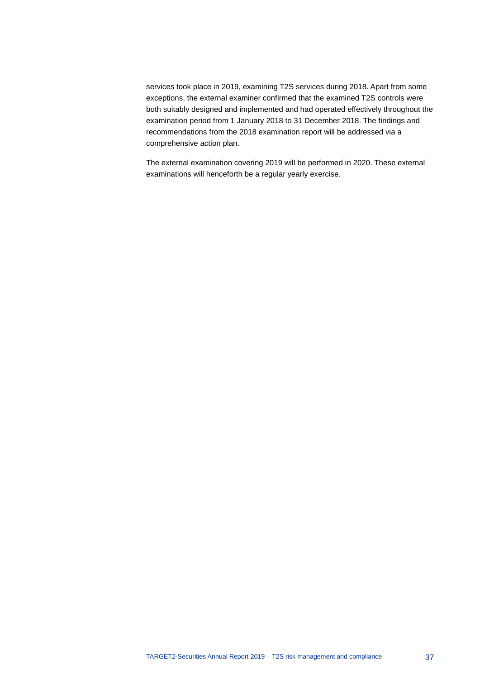services took place in 2019, examining T2S services during 2018. Apart from some exceptions, the external examiner confirmed that the examined T2S controls were both suitably designed and implemented and had operated effectively throughout the examination period from 1 January 2018 to 31 December 2018. The findings and recommendations from the 2018 examination report will be addressed via a comprehensive action plan.

The external examination covering 2019 will be performed in 2020. These external examinations will henceforth be a regular yearly exercise.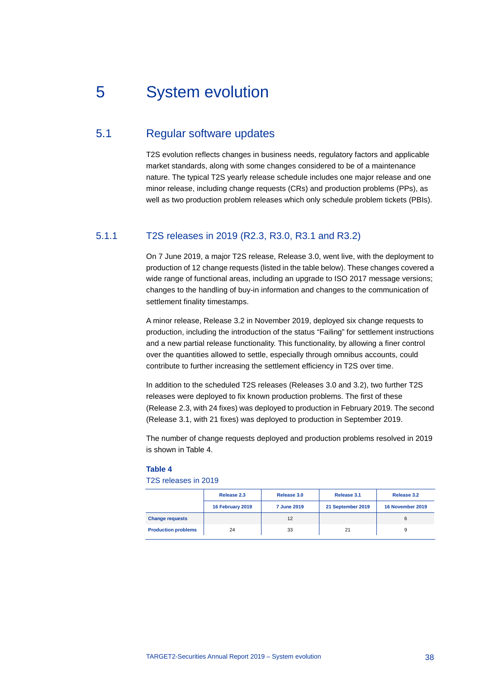# <span id="page-38-0"></span>5 System evolution

# 5.1 Regular software updates

<span id="page-38-1"></span>T2S evolution reflects changes in business needs, regulatory factors and applicable market standards, along with some changes considered to be of a maintenance nature. The typical T2S yearly release schedule includes one major release and one minor release, including change requests (CRs) and production problems (PPs), as well as two production problem releases which only schedule problem tickets (PBIs).

# 5.1.1 T2S releases in 2019 (R2.3, R3.0, R3.1 and R3.2)

On 7 June 2019, a major T2S release, Release 3.0, went live, with the deployment to production of 12 change requests (listed in the table below). These changes covered a wide range of functional areas, including an upgrade to ISO 2017 message versions; changes to the handling of buy-in information and changes to the communication of settlement finality timestamps.

A minor release, Release 3.2 in November 2019, deployed six change requests to production, including the introduction of the status "Failing" for settlement instructions and a new partial release functionality. This functionality, by allowing a finer control over the quantities allowed to settle, especially through omnibus accounts, could contribute to further increasing the settlement efficiency in T2S over time.

In addition to the scheduled T2S releases (Releases 3.0 and 3.2), two further T2S releases were deployed to fix known production problems. The first of these (Release 2.3, with 24 fixes) was deployed to production in February 2019. The second (Release 3.1, with 21 fixes) was deployed to production in September 2019.

The number of change requests deployed and production problems resolved in 2019 is shown in Table 4.

#### **Table 4**

# T2S releases in 2019

|                            | Release 2.3      | Release 3.0        | Release 3.1       | Release 3.2      |
|----------------------------|------------------|--------------------|-------------------|------------------|
|                            | 16 February 2019 | <b>7 June 2019</b> | 21 September 2019 | 16 November 2019 |
| <b>Change requests</b>     |                  | 12                 |                   | 6                |
| <b>Production problems</b> | 24               | 33                 | 21                |                  |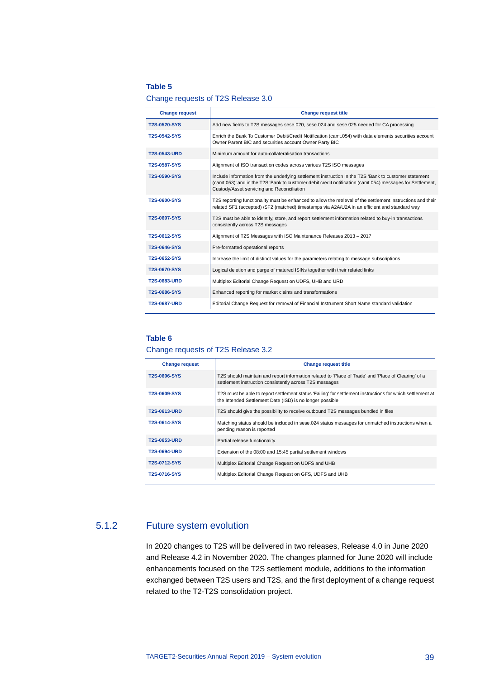## **Table 5**

## Change requests of T2S Release 3.0

| <b>Change request</b> | <b>Change request title</b>                                                                                                                                                                                                                                       |
|-----------------------|-------------------------------------------------------------------------------------------------------------------------------------------------------------------------------------------------------------------------------------------------------------------|
| <b>T2S-0520-SYS</b>   | Add new fields to T2S messages sese.020, sese.024 and sese.025 needed for CA processing                                                                                                                                                                           |
| <b>T2S-0542-SYS</b>   | Enrich the Bank To Customer Debit/Credit Notification (camt.054) with data elements securities account<br>Owner Parent BIC and securities account Owner Party BIC                                                                                                 |
| <b>T2S-0543-URD</b>   | Minimum amount for auto-collateralisation transactions                                                                                                                                                                                                            |
| <b>T2S-0587-SYS</b>   | Alignment of ISO transaction codes across various T2S ISO messages                                                                                                                                                                                                |
| <b>T2S-0590-SYS</b>   | Include information from the underlying settlement instruction in the T2S 'Bank to customer statement<br>(camt.053)' and in the T2S 'Bank to customer debit credit notification (camt.054) messages for Settlement,<br>Custody/Asset servicing and Reconciliation |
| <b>T2S-0600-SYS</b>   | T2S reporting functionality must be enhanced to allow the retrieval of the settlement instructions and their<br>related SF1 (accepted) / SF2 (matched) timestamps via A2A/U2A in an efficient and standard way                                                    |
| <b>T2S-0607-SYS</b>   | T2S must be able to identify, store, and report settlement information related to buy-in transactions<br>consistently across T2S messages                                                                                                                         |
| T2S-0612-SYS          | Alignment of T2S Messages with ISO Maintenance Releases 2013 - 2017                                                                                                                                                                                               |
| T2S-0646-SYS          | Pre-formatted operational reports                                                                                                                                                                                                                                 |
| T2S-0652-SYS          | Increase the limit of distinct values for the parameters relating to message subscriptions                                                                                                                                                                        |
| <b>T2S-0670-SYS</b>   | Logical deletion and purge of matured ISINs together with their related links                                                                                                                                                                                     |
| <b>T2S-0683-URD</b>   | Multiplex Editorial Change Request on UDFS, UHB and URD                                                                                                                                                                                                           |
| <b>T2S-0686-SYS</b>   | Enhanced reporting for market claims and transformations                                                                                                                                                                                                          |
| <b>T2S-0687-URD</b>   | Editorial Change Request for removal of Financial Instrument Short Name standard validation                                                                                                                                                                       |

# **Table 6**

# Change requests of T2S Release 3.2

| <b>Change request</b> | <b>Change request title</b>                                                                                                                                            |
|-----------------------|------------------------------------------------------------------------------------------------------------------------------------------------------------------------|
| <b>T2S-0606-SYS</b>   | T2S should maintain and report information related to 'Place of Trade' and 'Place of Clearing' of a<br>settlement instruction consistently across T2S messages         |
| <b>T2S-0609-SYS</b>   | T2S must be able to report settlement status 'Failing' for settlement instructions for which settlement at<br>the Intended Settlement Date (ISD) is no longer possible |
| <b>T2S-0613-URD</b>   | T2S should give the possibility to receive outbound T2S messages bundled in files                                                                                      |
| T2S-0614-SYS          | Matching status should be included in sese.024 status messages for unmatched instructions when a<br>pending reason is reported                                         |
| <b>T2S-0653-URD</b>   | Partial release functionality                                                                                                                                          |
| <b>T2S-0694-URD</b>   | Extension of the 08:00 and 15:45 partial settlement windows                                                                                                            |
| T2S-0712-SYS          | Multiplex Editorial Change Request on UDFS and UHB                                                                                                                     |
| T2S-0716-SYS          | Multiplex Editorial Change Request on GFS, UDFS and UHB                                                                                                                |

# 5.1.2 Future system evolution

In 2020 changes to T2S will be delivered in two releases, Release 4.0 in June 2020 and Release 4.2 in November 2020. The changes planned for June 2020 will include enhancements focused on the T2S settlement module, additions to the information exchanged between T2S users and T2S, and the first deployment of a change request related to the T2-T2S consolidation project.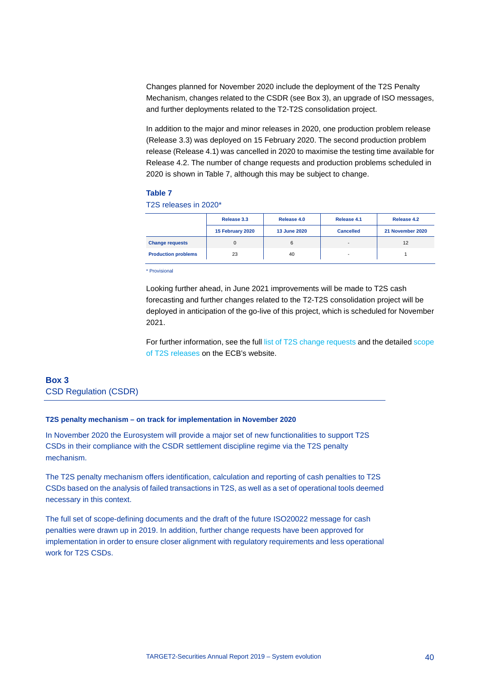Changes planned for November 2020 include the deployment of the T2S Penalty Mechanism, changes related to the CSDR (see Box 3), an upgrade of ISO messages, and further deployments related to the T2-T2S consolidation project.

In addition to the major and minor releases in 2020, one production problem release (Release 3.3) was deployed on 15 February 2020. The second production problem release (Release 4.1) was cancelled in 2020 to maximise the testing time available for Release 4.2. The number of change requests and production problems scheduled in 2020 is shown in Table 7, although this may be subject to change.

## **Table 7**

T2S releases in 2020\*

|                            | Release 3.3      | Release 4.0  | Release 4.1              | Release 4.2      |
|----------------------------|------------------|--------------|--------------------------|------------------|
|                            | 15 February 2020 | 13 June 2020 | <b>Cancelled</b>         | 21 November 2020 |
| <b>Change requests</b>     |                  | 6            | $\overline{\phantom{a}}$ | 12               |
| <b>Production problems</b> | 23               | 40           | $\overline{\phantom{a}}$ |                  |

\* Provisional

Looking further ahead, in June 2021 improvements will be made to T2S cash forecasting and further changes related to the T2-T2S consolidation project will be deployed in anticipation of the go-live of this project, which is scheduled for November 2021.

For further information, see the ful[l list of T2S change requests](https://www.ecb.europa.eu/paym/target/t2s/governance/html/changerequests.en.html) and the detaile[d scope](https://www.ecb.europa.eu/paym/target/t2s/governance/html/pmg.en.html)  [of T2S releases](https://www.ecb.europa.eu/paym/target/t2s/governance/html/pmg.en.html) on the ECB's website.

# <span id="page-40-0"></span>**Box 3** CSD Regulation (CSDR)

## **T2S penalty mechanism – on track for implementation in November 2020**

In November 2020 the Eurosystem will provide a major set of new functionalities to support T2S CSDs in their compliance with the CSDR settlement discipline regime via the T2S penalty mechanism.

The T2S penalty mechanism offers identification, calculation and reporting of cash penalties to T2S CSDs based on the analysis of failed transactions in T2S, as well as a set of operational tools deemed necessary in this context.

The full set of scope-defining documents and the draft of the future ISO20022 message for cash penalties were drawn up in 2019. In addition, further change requests have been approved for implementation in order to ensure closer alignment with regulatory requirements and less operational work for T2S CSDs.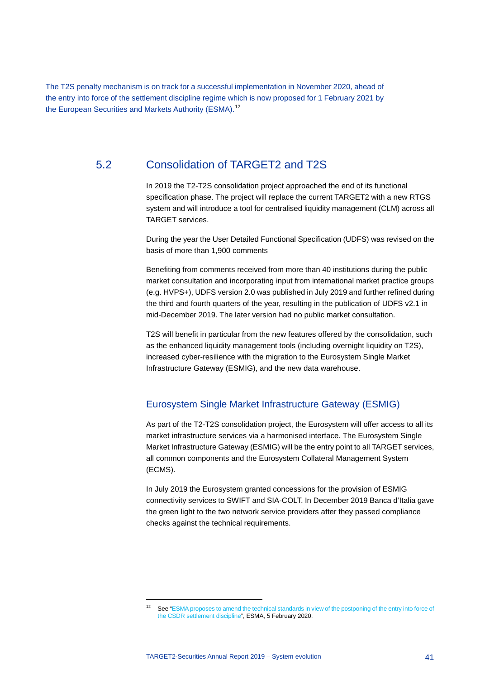The T2S penalty mechanism is on track for a successful implementation in November 2020, ahead of the entry into force of the settlement discipline regime which is now proposed for 1 February 2021 by the European Securities and Markets Authority (ESMA).<sup>[12](#page-41-1)</sup>

# 5.2 Consolidation of TARGET2 and T2S

<span id="page-41-0"></span>In 2019 the T2-T2S consolidation project approached the end of its functional specification phase. The project will replace the current TARGET2 with a new RTGS system and will introduce a tool for centralised liquidity management (CLM) across all TARGET services.

During the year the User Detailed Functional Specification (UDFS) was revised on the basis of more than 1,900 comments

Benefiting from comments received from more than 40 institutions during the public market consultation and incorporating input from international market practice groups (e.g. HVPS+), UDFS version 2.0 was published in July 2019 and further refined during the third and fourth quarters of the year, resulting in the publication of UDFS v2.1 in mid-December 2019. The later version had no public market consultation.

T2S will benefit in particular from the new features offered by the consolidation, such as the enhanced liquidity management tools (including overnight liquidity on T2S), increased cyber-resilience with the migration to the Eurosystem Single Market Infrastructure Gateway (ESMIG), and the new data warehouse.

# Eurosystem Single Market Infrastructure Gateway (ESMIG)

As part of the T2-T2S consolidation project, the Eurosystem will offer access to all its market infrastructure services via a harmonised interface. The Eurosystem Single Market Infrastructure Gateway (ESMIG) will be the entry point to all TARGET services, all common components and the Eurosystem Collateral Management System (ECMS).

In July 2019 the Eurosystem granted concessions for the provision of ESMIG connectivity services to SWIFT and SIA-COLT. In December 2019 Banca d'Italia gave the green light to the two network service providers after they passed compliance checks against the technical requirements.

<span id="page-41-1"></span>-

See "ESMA proposes to amend the technical standards in view of the postponing of the entry into force of [the CSDR settlement discipline"](https://www.esma.europa.eu/press-news/esma-news/esma-proposes-amend-technical-standards-in-view-postponing-entry-force-csdr), ESMA, 5 February 2020.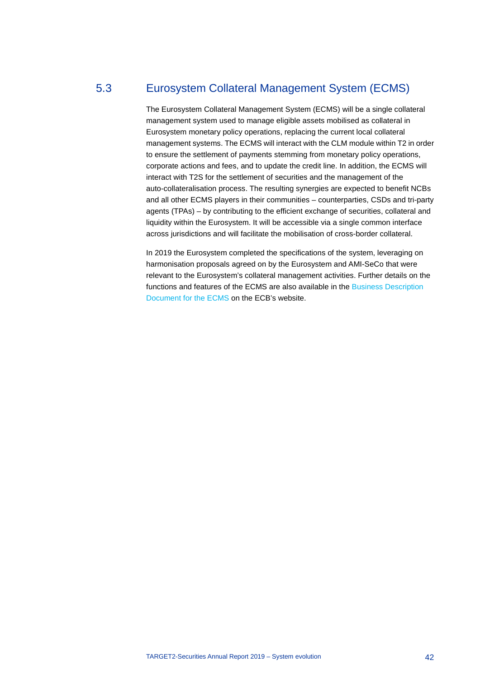# 5.3 Eurosystem Collateral Management System (ECMS)

<span id="page-42-0"></span>The Eurosystem Collateral Management System (ECMS) will be a single collateral management system used to manage eligible assets mobilised as collateral in Eurosystem monetary policy operations, replacing the current local collateral management systems. The ECMS will interact with the CLM module within T2 in order to ensure the settlement of payments stemming from monetary policy operations, corporate actions and fees, and to update the credit line. In addition, the ECMS will interact with T2S for the settlement of securities and the management of the auto-collateralisation process. The resulting synergies are expected to benefit NCBs and all other ECMS players in their communities – counterparties, CSDs and tri-party agents (TPAs) – by contributing to the efficient exchange of securities, collateral and liquidity within the Eurosystem. It will be accessible via a single common interface across jurisdictions and will facilitate the mobilisation of cross-border collateral.

In 2019 the Eurosystem completed the specifications of the system, leveraging on harmonisation proposals agreed on by the Eurosystem and AMI-SeCo that were relevant to the Eurosystem's collateral management activities. Further details on the functions and features of the ECMS are also available in the [Business Description](https://www.ecb.europa.eu/paym/target/ecms/shared/pdf/Business_Description_Document_of_ECMS_v1.pdf)  [Document for the ECMS](https://www.ecb.europa.eu/paym/target/ecms/shared/pdf/Business_Description_Document_of_ECMS_v1.pdf) on the ECB's website.